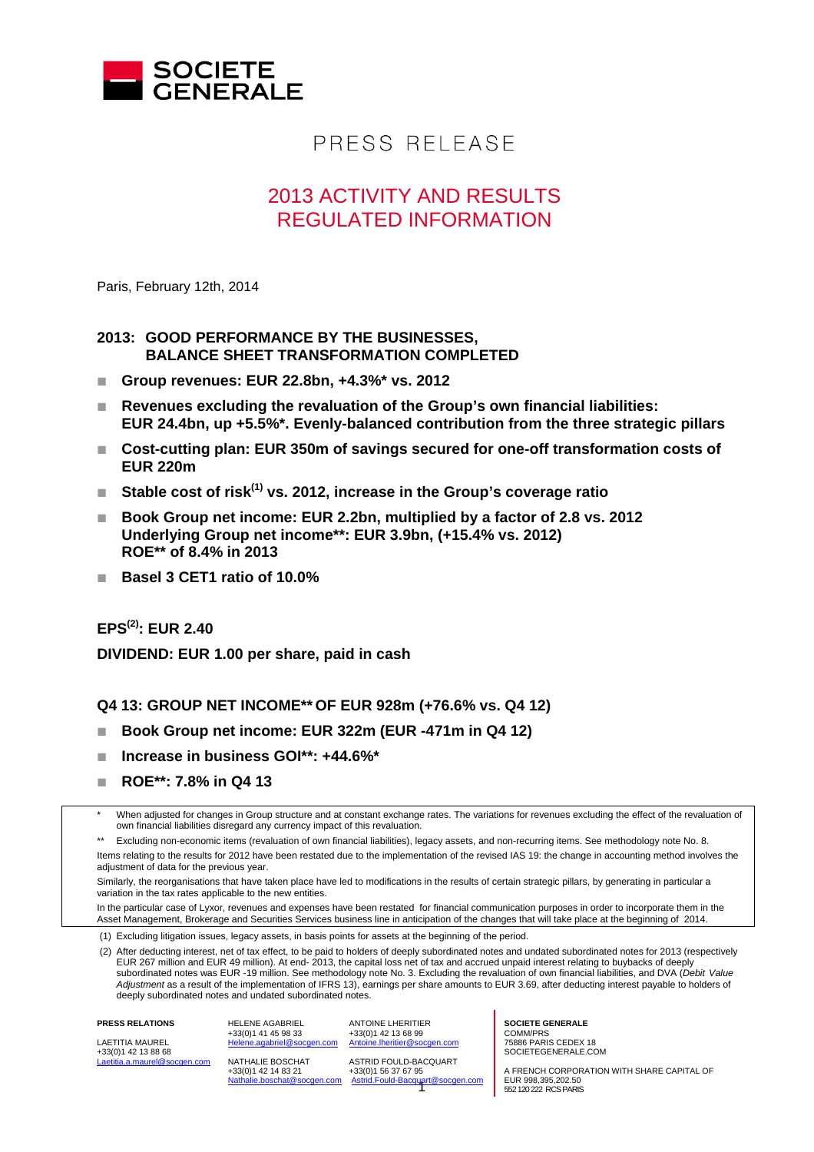

# PRESS RELEASE

## 2013 ACTIVITY AND RESULTS REGULATED INFORMATION

Paris, February 12th, 2014

#### **2013: GOOD PERFORMANCE BY THE BUSINESSES, BALANCE SHEET TRANSFORMATION COMPLETED**

- **Group revenues: EUR 22.8bn, +4.3%\* vs. 2012**
- **Revenues excluding the revaluation of the Group's own financial liabilities: EUR 24.4bn, up +5.5%\*. Evenly-balanced contribution from the three strategic pillars**
- **Cost-cutting plan: EUR 350m of savings secured for one-off transformation costs of EUR 220m**
- Stable cost of risk<sup>(1)</sup> vs. 2012, increase in the Group's coverage ratio
- **Book Group net income: EUR 2.2bn, multiplied by a factor of 2.8 vs. 2012 Underlying Group net income\*\*: EUR 3.9bn, (+15.4% vs. 2012) ROE\*\* of 8.4% in 2013**
- **Basel 3 CET1 ratio of 10.0%**

**EPS(2): EUR 2.40** 

 **DIVIDEND: EUR 1.00 per share, paid in cash** 

**Q4 13: GROUP NET INCOME\*\* OF EUR 928m (+76.6% vs. Q4 12)** 

- **Book Group net income: EUR 322m (EUR -471m in Q4 12)**
- **Increase in business GOI\*\*: +44.6%\***
- **ROE\*\*: 7.8% in Q4 13**

When adjusted for changes in Group structure and at constant exchange rates. The variations for revenues excluding the effect of the revaluation of own financial liabilities disregard any currency impact of this revaluation.

Excluding non-economic items (revaluation of own financial liabilities), legacy assets, and non-recurring items. See methodology note No. 8. Items relating to the results for 2012 have been restated due to the implementation of the revised IAS 19: the change in accounting method involves the adjustment of data for the previous year.

Similarly, the reorganisations that have taken place have led to modifications in the results of certain strategic pillars, by generating in particular a variation in the tax rates applicable to the new entities.

In the particular case of Lyxor, revenues and expenses have been restated for financial communication purposes in order to incorporate them in the Asset Management, Brokerage and Securities Services business line in anticipation of the changes that will take place at the beginning of 2014.

(1) Excluding litigation issues, legacy assets, in basis points for assets at the beginning of the period.

 (2) After deducting interest, net of tax effect, to be paid to holders of deeply subordinated notes and undated subordinated notes for 2013 (respectively EUR 267 million and EUR 49 million). At end- 2013, the capital loss net of tax and accrued unpaid interest relating to buybacks of deeply subordinated notes was EUR -19 million. See methodology note No. 3. Excluding the revaluation of own financial liabilities, and DVA (*Debit Value Adjustment* as a result of the implementation of IFRS 13), earnings per share amounts to EUR 3.69, after deducting interest payable to holders of deeply subordinated notes and undated subordinated notes.

LAETITIA MAUREL  $+33(0)1$  42 13 88 68 Laetitia.a.maurel@socgen.com

**PRESS RELATIONS** 

agabriel@socgen.com NATHALIE BOSCHAT +33(0)1 42 14 83 21 en.com

HELENE AGABRIEL +33(0)1 41 45 98 33

ANTOINE LHERITIER +33(0)1 42 13 68 99<br>Antoine Iberitier@so heritier@socgen.com

ASTRID FOULD-BACQUART +33(0)1 56 37 67 95 Astrid.Fould-Bacquart@socgen.com **SOCIETE GENERALE**  COMM/PRS 75886 PARIS CEDEX 18 SOCIETEGENERALE.COM

A FRENCH CORPORATION WITH SHARE CAPITAL OF EUR 998,395,202.50<br>552 120 222 RCS PARIS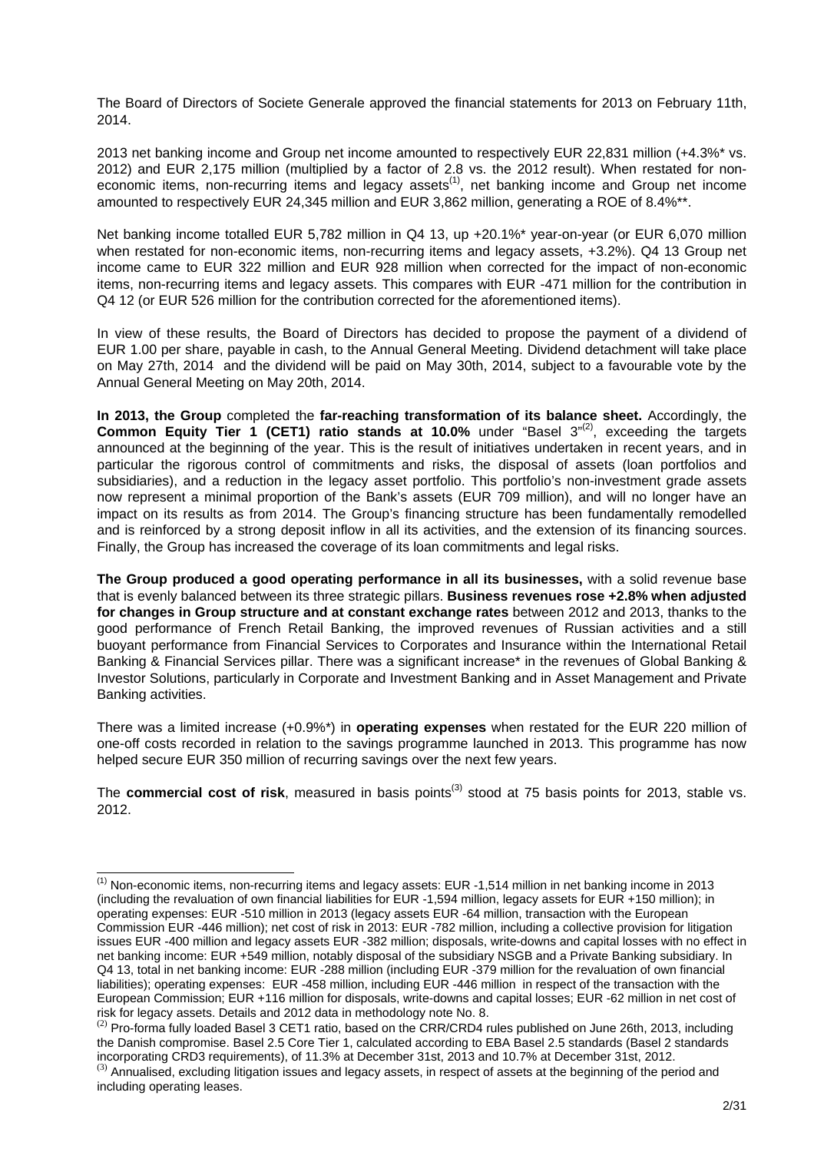The Board of Directors of Societe Generale approved the financial statements for 2013 on February 11th, 2014.

2013 net banking income and Group net income amounted to respectively EUR 22,831 million (+4.3%\* vs. 2012) and EUR 2,175 million (multiplied by a factor of 2.8 vs. the 2012 result). When restated for noneconomic items, non-recurring items and legacy assets<sup>(1)</sup>, net banking income and Group net income amounted to respectively EUR 24,345 million and EUR 3,862 million, generating a ROE of 8.4%\*\*.

Net banking income totalled EUR 5,782 million in Q4 13, up +20.1%\* year-on-year (or EUR 6,070 million when restated for non-economic items, non-recurring items and legacy assets, +3.2%). Q4 13 Group net income came to EUR 322 million and EUR 928 million when corrected for the impact of non-economic items, non-recurring items and legacy assets. This compares with EUR -471 million for the contribution in Q4 12 (or EUR 526 million for the contribution corrected for the aforementioned items).

In view of these results, the Board of Directors has decided to propose the payment of a dividend of EUR 1.00 per share, payable in cash, to the Annual General Meeting. Dividend detachment will take place on May 27th, 2014 and the dividend will be paid on May 30th, 2014, subject to a favourable vote by the Annual General Meeting on May 20th, 2014.

**In 2013, the Group** completed the **far-reaching transformation of its balance sheet.** Accordingly, the **Common Equity Tier 1 (CET1) ratio stands at 10.0%** under "Basel 3"<sup>(2)</sup>, exceeding the targets announced at the beginning of the year. This is the result of initiatives undertaken in recent years, and in particular the rigorous control of commitments and risks, the disposal of assets (loan portfolios and subsidiaries), and a reduction in the legacy asset portfolio. This portfolio's non-investment grade assets now represent a minimal proportion of the Bank's assets (EUR 709 million), and will no longer have an impact on its results as from 2014. The Group's financing structure has been fundamentally remodelled and is reinforced by a strong deposit inflow in all its activities, and the extension of its financing sources. Finally, the Group has increased the coverage of its loan commitments and legal risks.

**The Group produced a good operating performance in all its businesses,** with a solid revenue base that is evenly balanced between its three strategic pillars. **Business revenues rose +2.8% when adjusted for changes in Group structure and at constant exchange rates** between 2012 and 2013, thanks to the good performance of French Retail Banking, the improved revenues of Russian activities and a still buoyant performance from Financial Services to Corporates and Insurance within the International Retail Banking & Financial Services pillar. There was a significant increase\* in the revenues of Global Banking & Investor Solutions, particularly in Corporate and Investment Banking and in Asset Management and Private Banking activities.

There was a limited increase (+0.9%\*) in **operating expenses** when restated for the EUR 220 million of one-off costs recorded in relation to the savings programme launched in 2013. This programme has now helped secure EUR 350 million of recurring savings over the next few years.

The **commercial cost of risk**, measured in basis points<sup>(3)</sup> stood at 75 basis points for 2013, stable vs. 2012.

 $\overline{a}$ <sup>(1)</sup> Non-economic items, non-recurring items and legacy assets: EUR -1,514 million in net banking income in 2013 (including the revaluation of own financial liabilities for EUR -1,594 million, legacy assets for EUR +150 million); in operating expenses: EUR -510 million in 2013 (legacy assets EUR -64 million, transaction with the European Commission EUR -446 million); net cost of risk in 2013: EUR -782 million, including a collective provision for litigation issues EUR -400 million and legacy assets EUR -382 million; disposals, write-downs and capital losses with no effect in net banking income: EUR +549 million, notably disposal of the subsidiary NSGB and a Private Banking subsidiary. In Q4 13, total in net banking income: EUR -288 million (including EUR -379 million for the revaluation of own financial liabilities); operating expenses: EUR -458 million, including EUR -446 million in respect of the transaction with the European Commission; EUR +116 million for disposals, write-downs and capital losses; EUR -62 million in net cost of risk for legacy assets. Details and 2012 data in methodology note No. 8.

 $<sup>(2)</sup>$  Pro-forma fully loaded Basel 3 CET1 ratio, based on the CRR/CRD4 rules published on June 26th, 2013, including</sup> the Danish compromise. Basel 2.5 Core Tier 1, calculated according to EBA Basel 2.5 standards (Basel 2 standards incorporating CRD3 requirements), of 11.3% at December 31st, 2013 and 10.7% at December 31st, 2012.  $^{(3)}$  Annualised, excluding litigation issues and legacy assets, in respect of assets at the beginning of the period and including operating leases.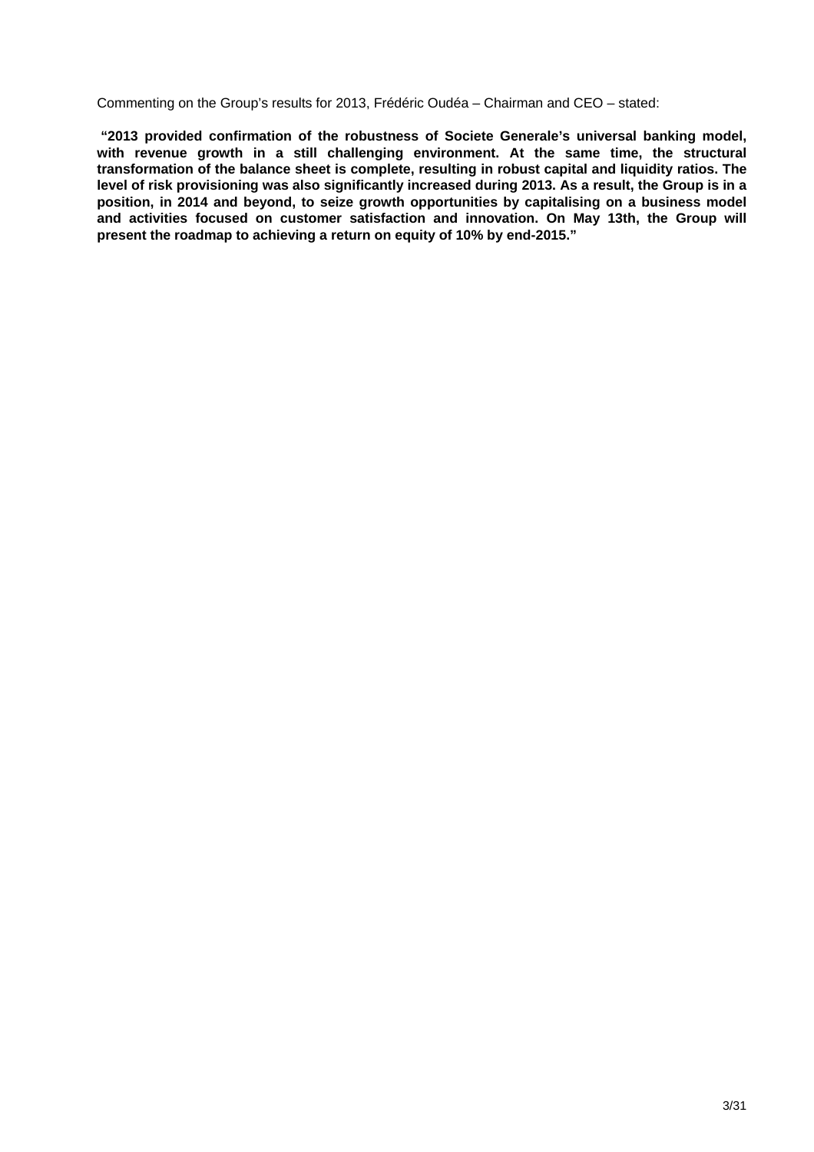Commenting on the Group's results for 2013, Frédéric Oudéa – Chairman and CEO – stated:

 **"2013 provided confirmation of the robustness of Societe Generale's universal banking model, with revenue growth in a still challenging environment. At the same time, the structural transformation of the balance sheet is complete, resulting in robust capital and liquidity ratios. The level of risk provisioning was also significantly increased during 2013. As a result, the Group is in a position, in 2014 and beyond, to seize growth opportunities by capitalising on a business model and activities focused on customer satisfaction and innovation. On May 13th, the Group will present the roadmap to achieving a return on equity of 10% by end-2015."**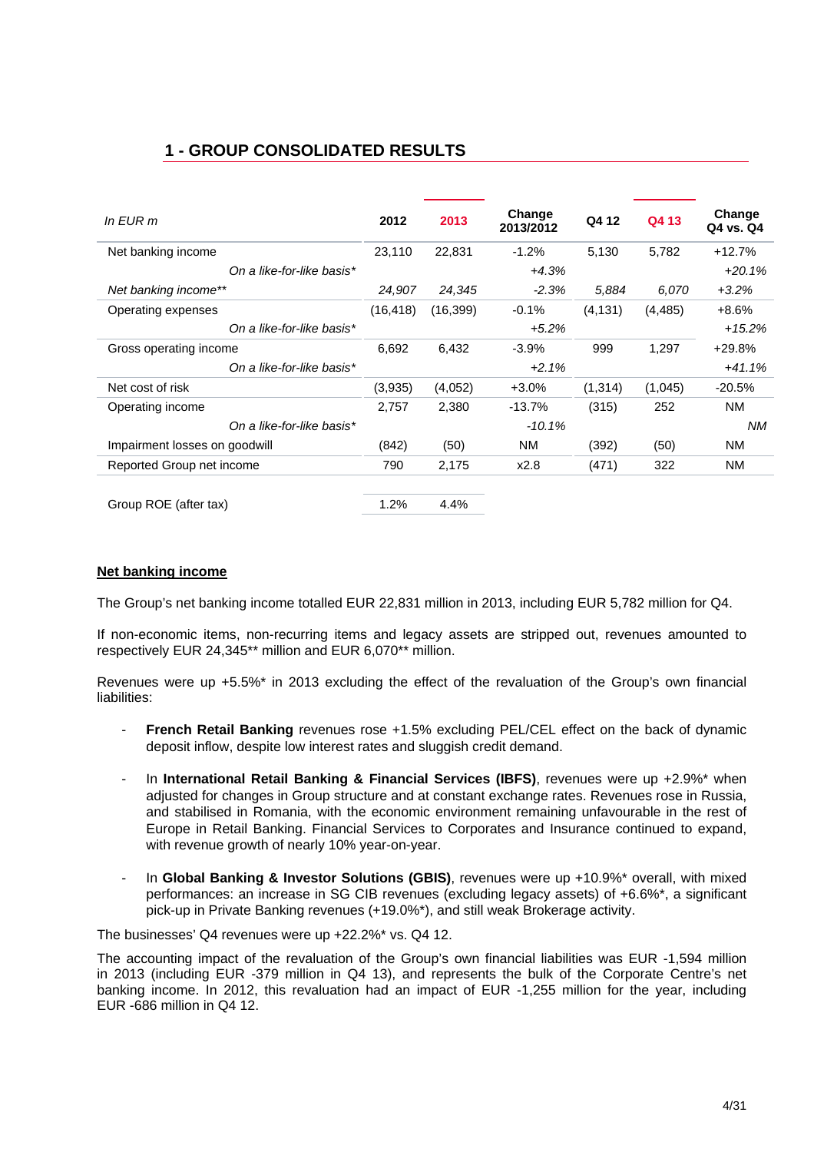## **1 - GROUP CONSOLIDATED RESULTS**

| In $E$ UR m                   | 2012      | 2013      | Change<br>2013/2012 | Q4 12    | Q4 13    | Change<br>Q4 vs. Q4 |
|-------------------------------|-----------|-----------|---------------------|----------|----------|---------------------|
| Net banking income            | 23,110    | 22,831    | $-1.2%$             | 5,130    | 5,782    | $+12.7%$            |
| On a like-for-like basis*     |           |           | $+4.3%$             |          |          | $+20.1%$            |
| Net banking income**          | 24,907    | 24,345    | $-2.3%$             | 5,884    | 6.070    | $+3.2%$             |
| Operating expenses            | (16, 418) | (16, 399) | $-0.1\%$            | (4, 131) | (4, 485) | $+8.6%$             |
| On a like-for-like basis*     |           |           | $+5.2%$             |          |          | $+15.2%$            |
| Gross operating income        | 6,692     | 6,432     | $-3.9\%$            | 999      | 1,297    | $+29.8%$            |
| On a like-for-like basis*     |           |           | $+2.1%$             |          |          | $+41.1%$            |
| Net cost of risk              | (3,935)   | (4,052)   | $+3.0%$             | (1, 314) | (1,045)  | $-20.5%$            |
| Operating income              | 2,757     | 2,380     | $-13.7%$            | (315)    | 252      | <b>NM</b>           |
| On a like-for-like basis*     |           |           | $-10.1%$            |          |          | NM.                 |
| Impairment losses on goodwill | (842)     | (50)      | <b>NM</b>           | (392)    | (50)     | <b>NM</b>           |
| Reported Group net income     | 790       | 2,175     | x2.8                | (471)    | 322      | NM.                 |
| Group ROE (after tax)         | 1.2%      | 4.4%      |                     |          |          |                     |

#### **Net banking income**

The Group's net banking income totalled EUR 22,831 million in 2013, including EUR 5,782 million for Q4.

If non-economic items, non-recurring items and legacy assets are stripped out, revenues amounted to respectively EUR 24,345\*\* million and EUR 6,070\*\* million.

Revenues were up +5.5%\* in 2013 excluding the effect of the revaluation of the Group's own financial liabilities:

- **French Retail Banking** revenues rose +1.5% excluding PEL/CEL effect on the back of dynamic deposit inflow, despite low interest rates and sluggish credit demand.
- In **International Retail Banking & Financial Services (IBFS)**, revenues were up +2.9%\* when adjusted for changes in Group structure and at constant exchange rates. Revenues rose in Russia, and stabilised in Romania, with the economic environment remaining unfavourable in the rest of Europe in Retail Banking. Financial Services to Corporates and Insurance continued to expand, with revenue growth of nearly 10% year-on-year.
- In **Global Banking & Investor Solutions (GBIS)**, revenues were up +10.9%\* overall, with mixed performances: an increase in SG CIB revenues (excluding legacy assets) of +6.6%\*, a significant pick-up in Private Banking revenues (+19.0%\*), and still weak Brokerage activity.

The businesses' Q4 revenues were up +22.2%\* vs. Q4 12.

The accounting impact of the revaluation of the Group's own financial liabilities was EUR -1,594 million in 2013 (including EUR -379 million in Q4 13), and represents the bulk of the Corporate Centre's net banking income. In 2012, this revaluation had an impact of EUR -1,255 million for the year, including EUR -686 million in Q4 12.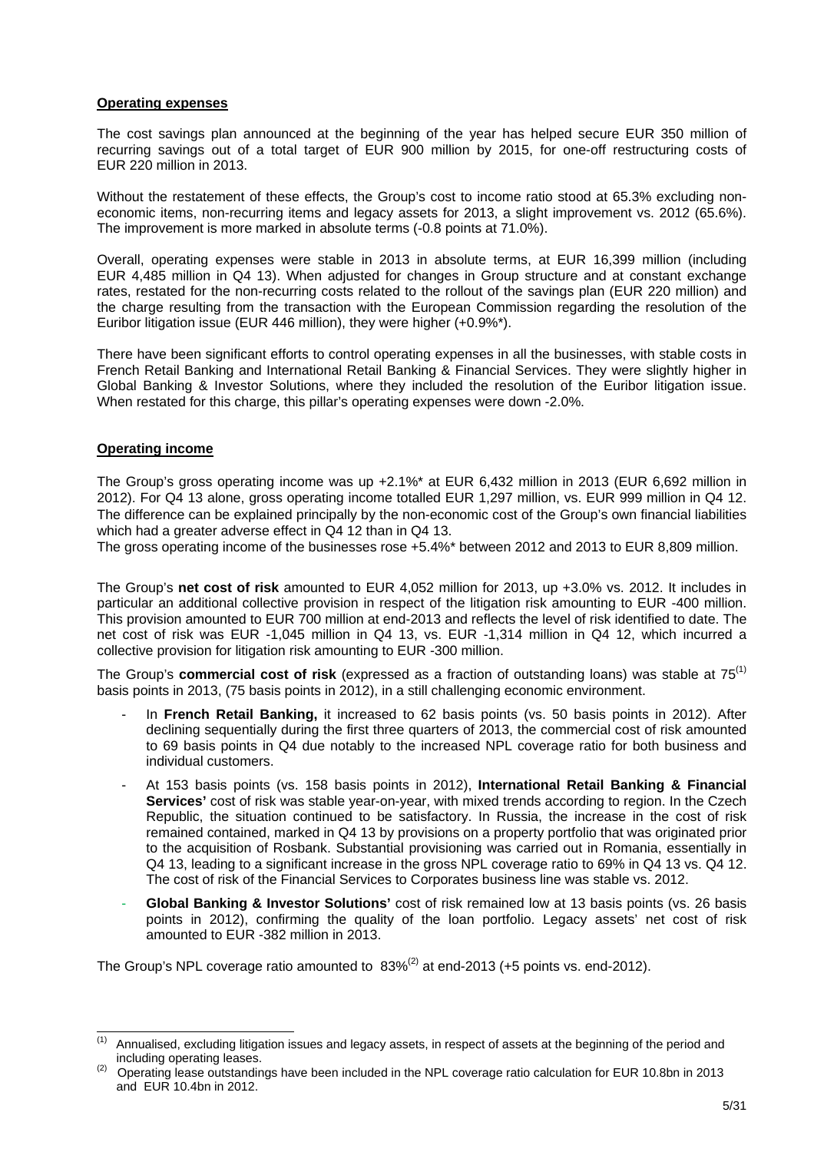#### **Operating expenses**

The cost savings plan announced at the beginning of the year has helped secure EUR 350 million of recurring savings out of a total target of EUR 900 million by 2015, for one-off restructuring costs of EUR 220 million in 2013.

Without the restatement of these effects, the Group's cost to income ratio stood at 65.3% excluding noneconomic items, non-recurring items and legacy assets for 2013, a slight improvement vs. 2012 (65.6%). The improvement is more marked in absolute terms (-0.8 points at 71.0%).

Overall, operating expenses were stable in 2013 in absolute terms, at EUR 16,399 million (including EUR 4,485 million in Q4 13). When adjusted for changes in Group structure and at constant exchange rates, restated for the non-recurring costs related to the rollout of the savings plan (EUR 220 million) and the charge resulting from the transaction with the European Commission regarding the resolution of the Euribor litigation issue (EUR 446 million), they were higher (+0.9%\*).

There have been significant efforts to control operating expenses in all the businesses, with stable costs in French Retail Banking and International Retail Banking & Financial Services. They were slightly higher in Global Banking & Investor Solutions, where they included the resolution of the Euribor litigation issue. When restated for this charge, this pillar's operating expenses were down -2.0%.

#### **Operating income**

The Group's gross operating income was up +2.1%\* at EUR 6,432 million in 2013 (EUR 6,692 million in 2012). For Q4 13 alone, gross operating income totalled EUR 1,297 million, vs. EUR 999 million in Q4 12. The difference can be explained principally by the non-economic cost of the Group's own financial liabilities which had a greater adverse effect in Q4 12 than in Q4 13.

The gross operating income of the businesses rose +5.4%\* between 2012 and 2013 to EUR 8,809 million.

The Group's **net cost of risk** amounted to EUR 4,052 million for 2013, up +3.0% vs. 2012. It includes in particular an additional collective provision in respect of the litigation risk amounting to EUR -400 million. This provision amounted to EUR 700 million at end-2013 and reflects the level of risk identified to date. The net cost of risk was EUR -1,045 million in Q4 13, vs. EUR -1,314 million in Q4 12, which incurred a collective provision for litigation risk amounting to EUR -300 million.

The Group's **commercial cost of risk** (expressed as a fraction of outstanding loans) was stable at 75<sup>(1)</sup> basis points in 2013, (75 basis points in 2012), in a still challenging economic environment.

- In **French Retail Banking,** it increased to 62 basis points (vs. 50 basis points in 2012). After declining sequentially during the first three quarters of 2013, the commercial cost of risk amounted to 69 basis points in Q4 due notably to the increased NPL coverage ratio for both business and individual customers.
- At 153 basis points (vs. 158 basis points in 2012), **International Retail Banking & Financial Services'** cost of risk was stable year-on-year, with mixed trends according to region. In the Czech Republic, the situation continued to be satisfactory. In Russia, the increase in the cost of risk remained contained, marked in Q4 13 by provisions on a property portfolio that was originated prior to the acquisition of Rosbank. Substantial provisioning was carried out in Romania, essentially in Q4 13, leading to a significant increase in the gross NPL coverage ratio to 69% in Q4 13 vs. Q4 12. The cost of risk of the Financial Services to Corporates business line was stable vs. 2012.
- **Global Banking & Investor Solutions'** cost of risk remained low at 13 basis points (vs. 26 basis points in 2012), confirming the quality of the loan portfolio. Legacy assets' net cost of risk amounted to EUR -382 million in 2013.

The Group's NPL coverage ratio amounted to  $83\%^{(2)}$  at end-2013 (+5 points vs. end-2012).

 $(1)$ Annualised, excluding litigation issues and legacy assets, in respect of assets at the beginning of the period and including operating leases.<br><sup>(2)</sup> Operating lease outstandings have been included in the NPL coverage ratio calculation for EUR 10.8bn in 2013

and EUR 10.4bn in 2012.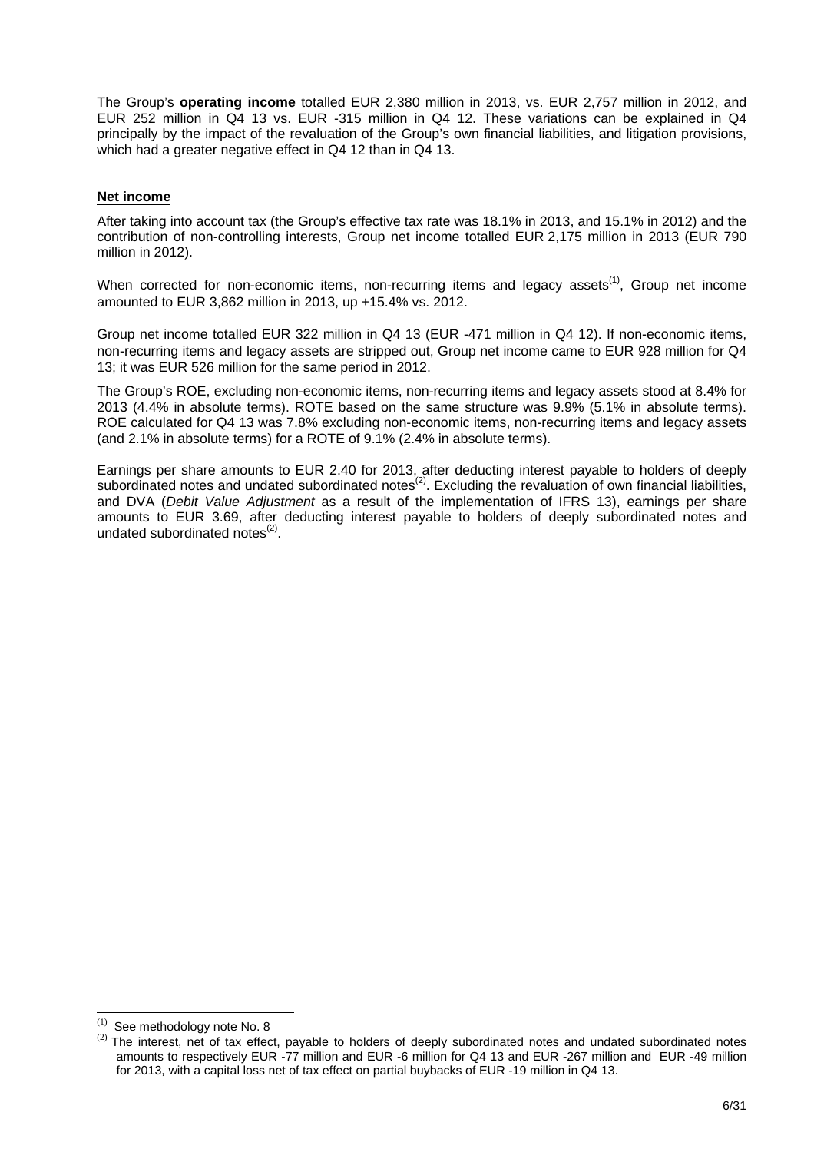The Group's **operating income** totalled EUR 2,380 million in 2013, vs. EUR 2,757 million in 2012, and EUR 252 million in Q4 13 vs. EUR -315 million in Q4 12. These variations can be explained in Q4 principally by the impact of the revaluation of the Group's own financial liabilities, and litigation provisions, which had a greater negative effect in Q4 12 than in Q4 13.

#### **Net income**

After taking into account tax (the Group's effective tax rate was 18.1% in 2013, and 15.1% in 2012) and the contribution of non-controlling interests, Group net income totalled EUR 2,175 million in 2013 (EUR 790 million in 2012).

When corrected for non-economic items, non-recurring items and legacy assets<sup>(1)</sup>, Group net income amounted to EUR 3,862 million in 2013, up +15.4% vs. 2012.

Group net income totalled EUR 322 million in Q4 13 (EUR -471 million in Q4 12). If non-economic items, non-recurring items and legacy assets are stripped out, Group net income came to EUR 928 million for Q4 13; it was EUR 526 million for the same period in 2012.

The Group's ROE, excluding non-economic items, non-recurring items and legacy assets stood at 8.4% for 2013 (4.4% in absolute terms). ROTE based on the same structure was 9.9% (5.1% in absolute terms). ROE calculated for Q4 13 was 7.8% excluding non-economic items, non-recurring items and legacy assets (and 2.1% in absolute terms) for a ROTE of 9.1% (2.4% in absolute terms).

Earnings per share amounts to EUR 2.40 for 2013, after deducting interest payable to holders of deeply subordinated notes and undated subordinated notes<sup>(2)</sup>. Excluding the revaluation of own financial liabilities, and DVA (*Debit Value Adjustment* as a result of the implementation of IFRS 13), earnings per share amounts to EUR 3.69, after deducting interest payable to holders of deeply subordinated notes and undated subordinated notes $<sup>(2)</sup>$ .</sup>

 $(1)$ See methodology note No. 8

<sup>&</sup>lt;sup>(2)</sup> The interest, net of tax effect, payable to holders of deeply subordinated notes and undated subordinated notes amounts to respectively EUR -77 million and EUR -6 million for Q4 13 and EUR -267 million and EUR -49 million for 2013, with a capital loss net of tax effect on partial buybacks of EUR -19 million in Q4 13.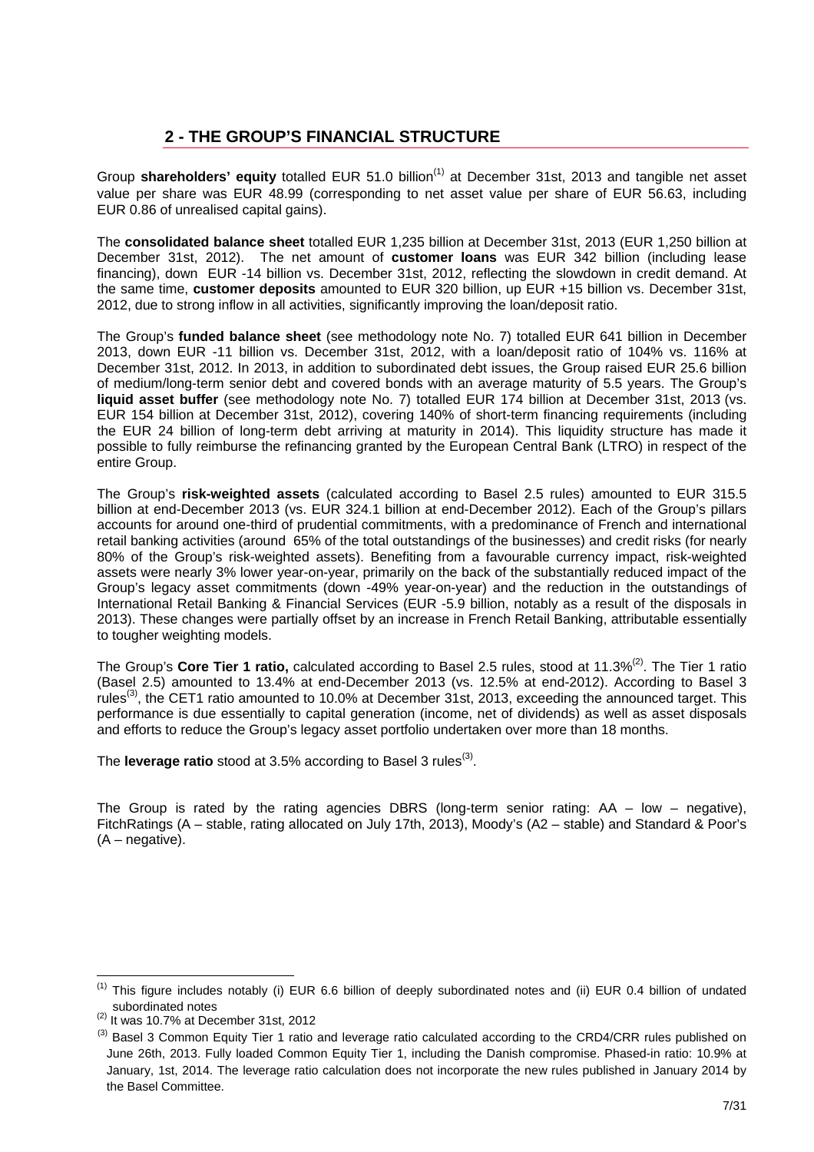## **2 - THE GROUP'S FINANCIAL STRUCTURE**

Group **shareholders' equity** totalled EUR 51.0 billion<sup>(1)</sup> at December 31st, 2013 and tangible net asset value per share was EUR 48.99 (corresponding to net asset value per share of EUR 56.63, including EUR 0.86 of unrealised capital gains).

The **consolidated balance sheet** totalled EUR 1,235 billion at December 31st, 2013 (EUR 1,250 billion at December 31st, 2012). The net amount of **customer loans** was EUR 342 billion (including lease financing), down EUR -14 billion vs. December 31st, 2012, reflecting the slowdown in credit demand. At the same time, **customer deposits** amounted to EUR 320 billion, up EUR +15 billion vs. December 31st, 2012, due to strong inflow in all activities, significantly improving the loan/deposit ratio.

The Group's **funded balance sheet** (see methodology note No. 7) totalled EUR 641 billion in December 2013, down EUR -11 billion vs. December 31st, 2012, with a loan/deposit ratio of 104% vs. 116% at December 31st, 2012. In 2013, in addition to subordinated debt issues, the Group raised EUR 25.6 billion of medium/long-term senior debt and covered bonds with an average maturity of 5.5 years. The Group's **liquid asset buffer** (see methodology note No. 7) totalled EUR 174 billion at December 31st, 2013 (vs. EUR 154 billion at December 31st, 2012), covering 140% of short-term financing requirements (including the EUR 24 billion of long-term debt arriving at maturity in 2014). This liquidity structure has made it possible to fully reimburse the refinancing granted by the European Central Bank (LTRO) in respect of the entire Group.

The Group's **risk-weighted assets** (calculated according to Basel 2.5 rules) amounted to EUR 315.5 billion at end-December 2013 (vs. EUR 324.1 billion at end-December 2012). Each of the Group's pillars accounts for around one-third of prudential commitments, with a predominance of French and international retail banking activities (around 65% of the total outstandings of the businesses) and credit risks (for nearly 80% of the Group's risk-weighted assets). Benefiting from a favourable currency impact, risk-weighted assets were nearly 3% lower year-on-year, primarily on the back of the substantially reduced impact of the Group's legacy asset commitments (down -49% year-on-year) and the reduction in the outstandings of International Retail Banking & Financial Services (EUR -5.9 billion, notably as a result of the disposals in 2013). These changes were partially offset by an increase in French Retail Banking, attributable essentially to tougher weighting models.

The Group's Core Tier 1 ratio, calculated according to Basel 2.5 rules, stood at 11.3%<sup>(2)</sup>. The Tier 1 ratio (Basel 2.5) amounted to 13.4% at end-December 2013 (vs. 12.5% at end-2012). According to Basel 3 rules<sup>(3)</sup>, the CET1 ratio amounted to 10.0% at December 31st, 2013, exceeding the announced target. This performance is due essentially to capital generation (income, net of dividends) as well as asset disposals and efforts to reduce the Group's legacy asset portfolio undertaken over more than 18 months.

The **leverage ratio** stood at 3.5% according to Basel 3 rules<sup>(3)</sup>.

The Group is rated by the rating agencies DBRS (long-term senior rating:  $AA - low - negative$ ), FitchRatings (A – stable, rating allocated on July 17th, 2013), Moody's (A2 – stable) and Standard & Poor's  $(A - \text{negative})$ .

l

 $(1)$  This figure includes notably (i) EUR 6.6 billion of deeply subordinated notes and (ii) EUR 0.4 billion of undated subordinated notes

<sup>(2)</sup> It was 10.7% at December 31st, 2012

<sup>&</sup>lt;sup>(3)</sup> Basel 3 Common Equity Tier 1 ratio and leverage ratio calculated according to the CRD4/CRR rules published on June 26th, 2013. Fully loaded Common Equity Tier 1, including the Danish compromise. Phased-in ratio: 10.9% at January, 1st, 2014. The leverage ratio calculation does not incorporate the new rules published in January 2014 by the Basel Committee.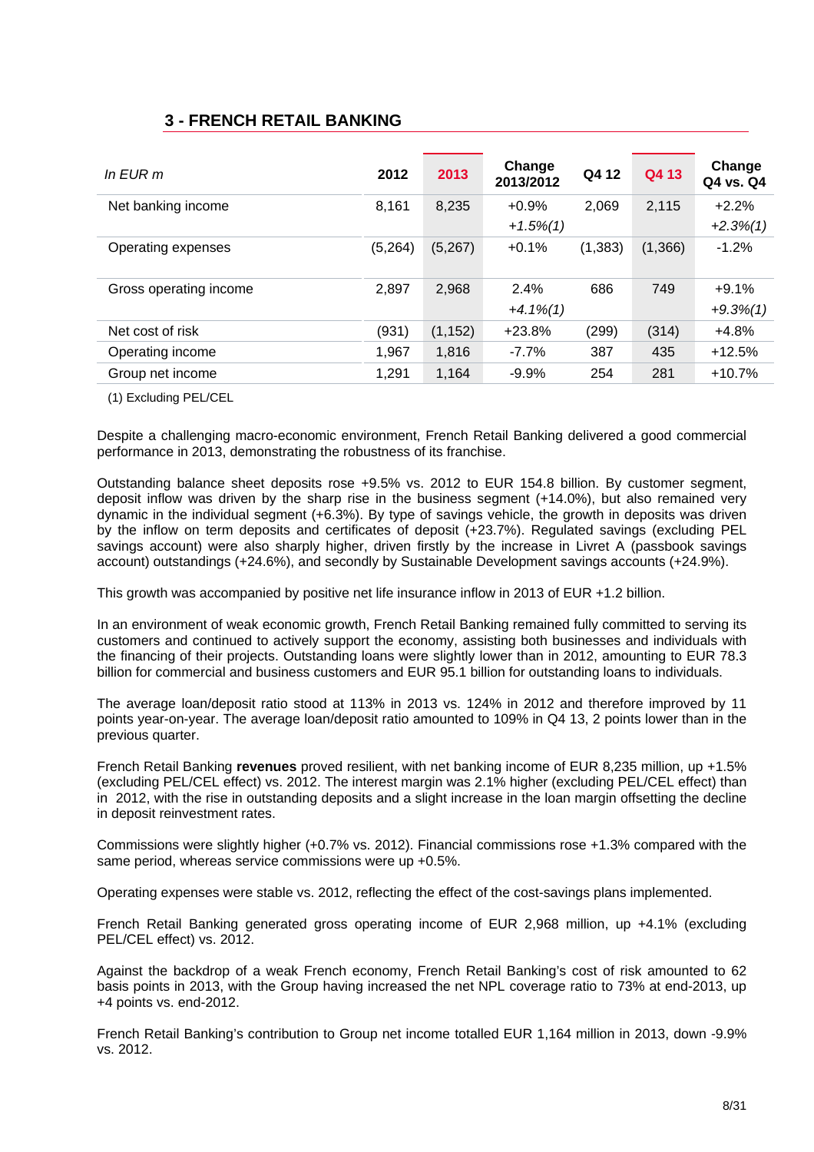### **3 - FRENCH RETAIL BANKING**

| In $E$ UR m            | 2012    | 2013     | Change<br>2013/2012    | Q4 12    | Q4 13   | Change<br>Q4 vs. Q4    |
|------------------------|---------|----------|------------------------|----------|---------|------------------------|
| Net banking income     | 8,161   | 8,235    | $+0.9%$<br>$+1.5\%(1)$ | 2,069    | 2,115   | $+2.2%$<br>$+2.3\%(1)$ |
| Operating expenses     | (5,264) | (5,267)  | $+0.1%$                | (1, 383) | (1,366) | $-1.2%$                |
| Gross operating income | 2,897   | 2,968    | 2.4%<br>$+4.1\%(1)$    | 686      | 749     | $+9.1%$<br>$+9.3\%/1)$ |
| Net cost of risk       | (931)   | (1, 152) | $+23.8%$               | (299)    | (314)   | $+4.8%$                |
| Operating income       | 1,967   | 1.816    | $-7.7\%$               | 387      | 435     | $+12.5%$               |
| Group net income       | 1,291   | 1.164    | $-9.9%$                | 254      | 281     | $+10.7%$               |

(1) Excluding PEL/CEL

Despite a challenging macro-economic environment, French Retail Banking delivered a good commercial performance in 2013, demonstrating the robustness of its franchise.

Outstanding balance sheet deposits rose +9.5% vs. 2012 to EUR 154.8 billion. By customer segment, deposit inflow was driven by the sharp rise in the business segment (+14.0%), but also remained very dynamic in the individual segment (+6.3%). By type of savings vehicle, the growth in deposits was driven by the inflow on term deposits and certificates of deposit (+23.7%). Regulated savings (excluding PEL savings account) were also sharply higher, driven firstly by the increase in Livret A (passbook savings account) outstandings (+24.6%), and secondly by Sustainable Development savings accounts (+24.9%).

This growth was accompanied by positive net life insurance inflow in 2013 of EUR +1.2 billion.

In an environment of weak economic growth, French Retail Banking remained fully committed to serving its customers and continued to actively support the economy, assisting both businesses and individuals with the financing of their projects. Outstanding loans were slightly lower than in 2012, amounting to EUR 78.3 billion for commercial and business customers and EUR 95.1 billion for outstanding loans to individuals.

The average loan/deposit ratio stood at 113% in 2013 vs. 124% in 2012 and therefore improved by 11 points year-on-year. The average loan/deposit ratio amounted to 109% in Q4 13, 2 points lower than in the previous quarter.

French Retail Banking **revenues** proved resilient, with net banking income of EUR 8,235 million, up +1.5% (excluding PEL/CEL effect) vs. 2012. The interest margin was 2.1% higher (excluding PEL/CEL effect) than in 2012, with the rise in outstanding deposits and a slight increase in the loan margin offsetting the decline in deposit reinvestment rates.

Commissions were slightly higher (+0.7% vs. 2012). Financial commissions rose +1.3% compared with the same period, whereas service commissions were up +0.5%.

Operating expenses were stable vs. 2012, reflecting the effect of the cost-savings plans implemented.

French Retail Banking generated gross operating income of EUR 2,968 million, up +4.1% (excluding PEL/CEL effect) vs. 2012.

Against the backdrop of a weak French economy, French Retail Banking's cost of risk amounted to 62 basis points in 2013, with the Group having increased the net NPL coverage ratio to 73% at end-2013, up +4 points vs. end-2012.

French Retail Banking's contribution to Group net income totalled EUR 1,164 million in 2013, down -9.9% vs. 2012.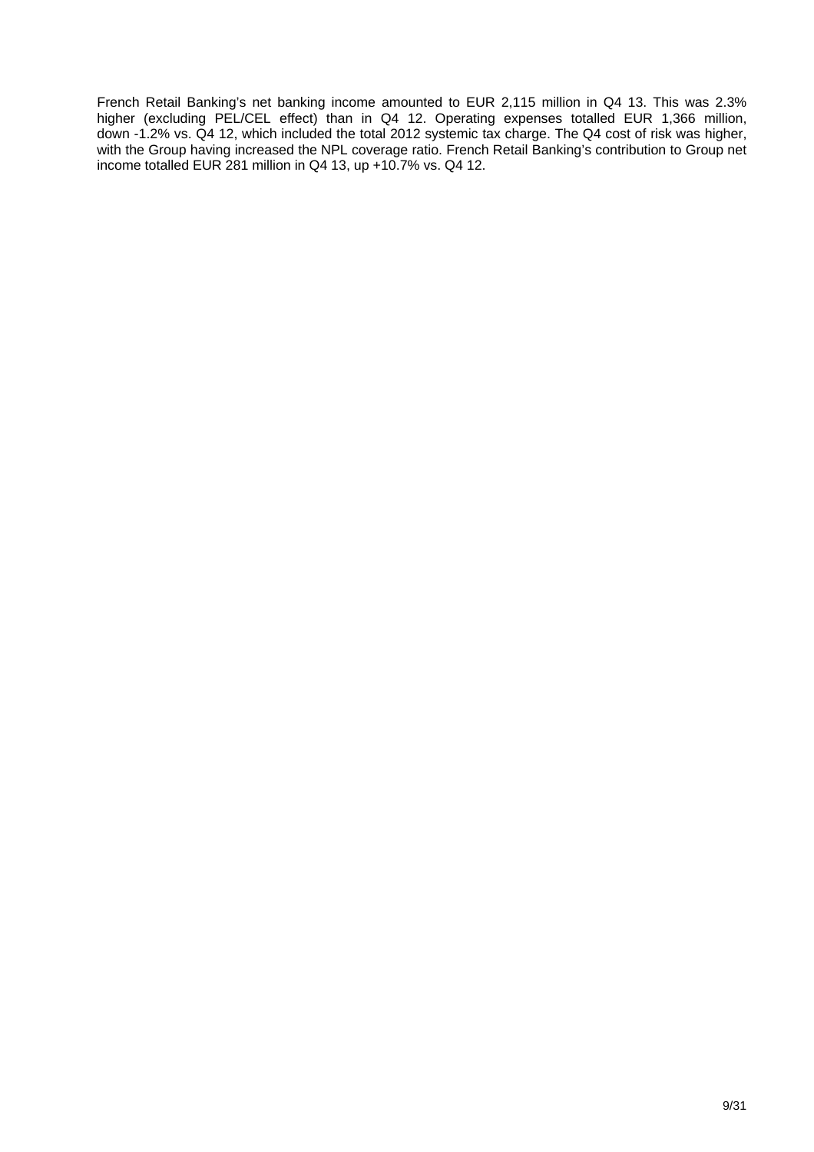French Retail Banking's net banking income amounted to EUR 2,115 million in Q4 13. This was 2.3% higher (excluding PEL/CEL effect) than in Q4 12. Operating expenses totalled EUR 1,366 million, down -1.2% vs. Q4 12, which included the total 2012 systemic tax charge. The Q4 cost of risk was higher, with the Group having increased the NPL coverage ratio. French Retail Banking's contribution to Group net income totalled EUR 281 million in Q4 13, up +10.7% vs. Q4 12.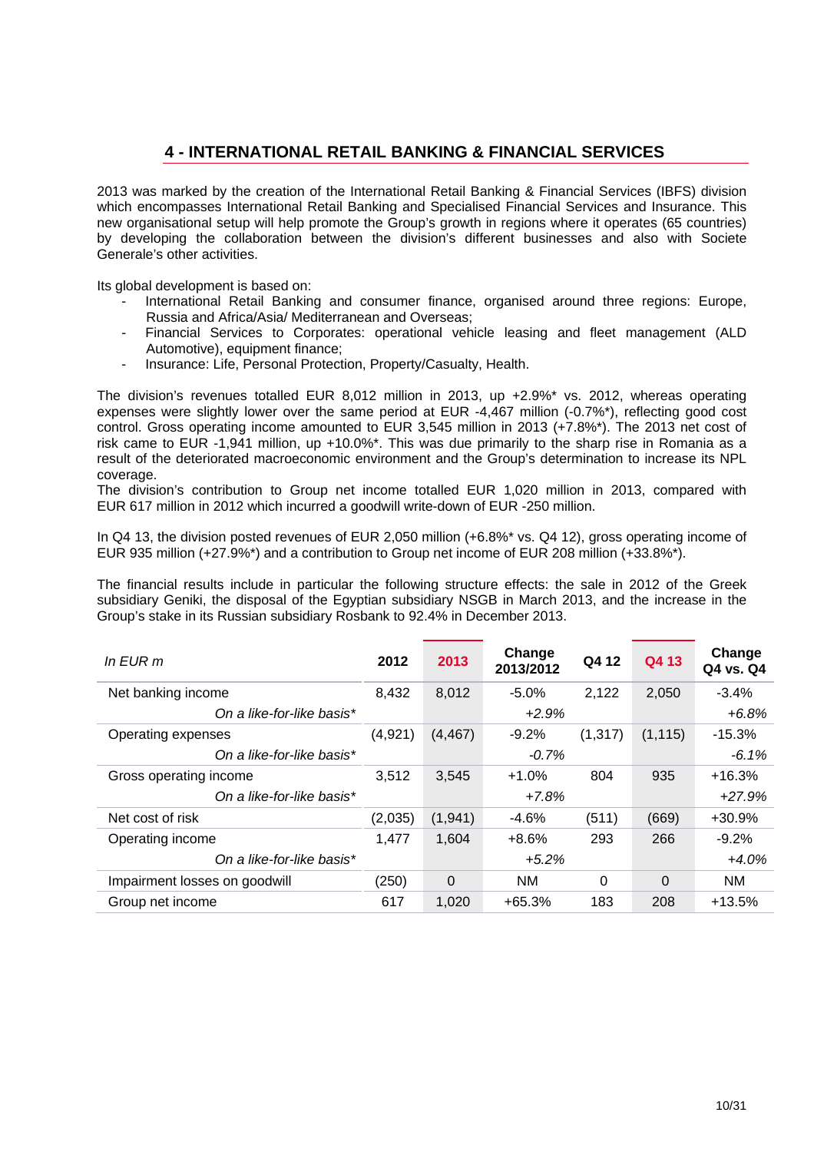### **4 - INTERNATIONAL RETAIL BANKING & FINANCIAL SERVICES**

2013 was marked by the creation of the International Retail Banking & Financial Services (IBFS) division which encompasses International Retail Banking and Specialised Financial Services and Insurance. This new organisational setup will help promote the Group's growth in regions where it operates (65 countries) by developing the collaboration between the division's different businesses and also with Societe Generale's other activities.

Its global development is based on:

- International Retail Banking and consumer finance, organised around three regions: Europe, Russia and Africa/Asia/ Mediterranean and Overseas;
- Financial Services to Corporates: operational vehicle leasing and fleet management (ALD Automotive), equipment finance;
- Insurance: Life, Personal Protection, Property/Casualty, Health.

The division's revenues totalled EUR 8,012 million in 2013, up +2.9%\* vs. 2012, whereas operating expenses were slightly lower over the same period at EUR -4,467 million (-0.7%\*), reflecting good cost control. Gross operating income amounted to EUR 3,545 million in 2013 (+7.8%\*). The 2013 net cost of risk came to EUR -1,941 million, up +10.0%\*. This was due primarily to the sharp rise in Romania as a result of the deteriorated macroeconomic environment and the Group's determination to increase its NPL coverage.

The division's contribution to Group net income totalled EUR 1,020 million in 2013, compared with EUR 617 million in 2012 which incurred a goodwill write-down of EUR -250 million.

In Q4 13, the division posted revenues of EUR 2,050 million (+6.8%<sup>\*</sup> vs. Q4 12), gross operating income of EUR 935 million (+27.9%\*) and a contribution to Group net income of EUR 208 million (+33.8%\*).

The financial results include in particular the following structure effects: the sale in 2012 of the Greek subsidiary Geniki, the disposal of the Egyptian subsidiary NSGB in March 2013, and the increase in the Group's stake in its Russian subsidiary Rosbank to 92.4% in December 2013.

| $In$ EUR $m$                  | 2012     | 2013     | Change<br>2013/2012 | Q4 12    | Q4 13    | Change<br>Q4 vs. Q4 |
|-------------------------------|----------|----------|---------------------|----------|----------|---------------------|
| Net banking income            | 8,432    | 8,012    | $-5.0%$             | 2,122    | 2,050    | $-3.4%$             |
| On a like-for-like basis*     |          |          | $+2.9%$             |          |          | $+6.8%$             |
| Operating expenses            | (4, 921) | (4, 467) | $-9.2%$             | (1, 317) | (1, 115) | $-15.3%$            |
| On a like-for-like basis*     |          |          |                     |          | $-6.1%$  |                     |
| Gross operating income        | 3.512    | 3.545    | $+1.0%$             | 804      | 935      | $+16.3%$            |
| On a like-for-like basis*     |          |          | $+7.8%$             |          |          | $+27.9%$            |
| Net cost of risk              | (2,035)  | (1,941)  | $-4.6%$             | (511)    | (669)    | +30.9%              |
| Operating income              | 1,477    | 1,604    | $+8.6%$             | 293      | 266      | $-9.2%$             |
| On a like-for-like basis*     |          |          | $+5.2\%$            |          |          | $+4.0%$             |
| Impairment losses on goodwill | (250)    | $\Omega$ | <b>NM</b>           | 0        | $\Omega$ | <b>NM</b>           |
| Group net income              | 617      | 1.020    | $+65.3%$            | 183      | 208      | $+13.5%$            |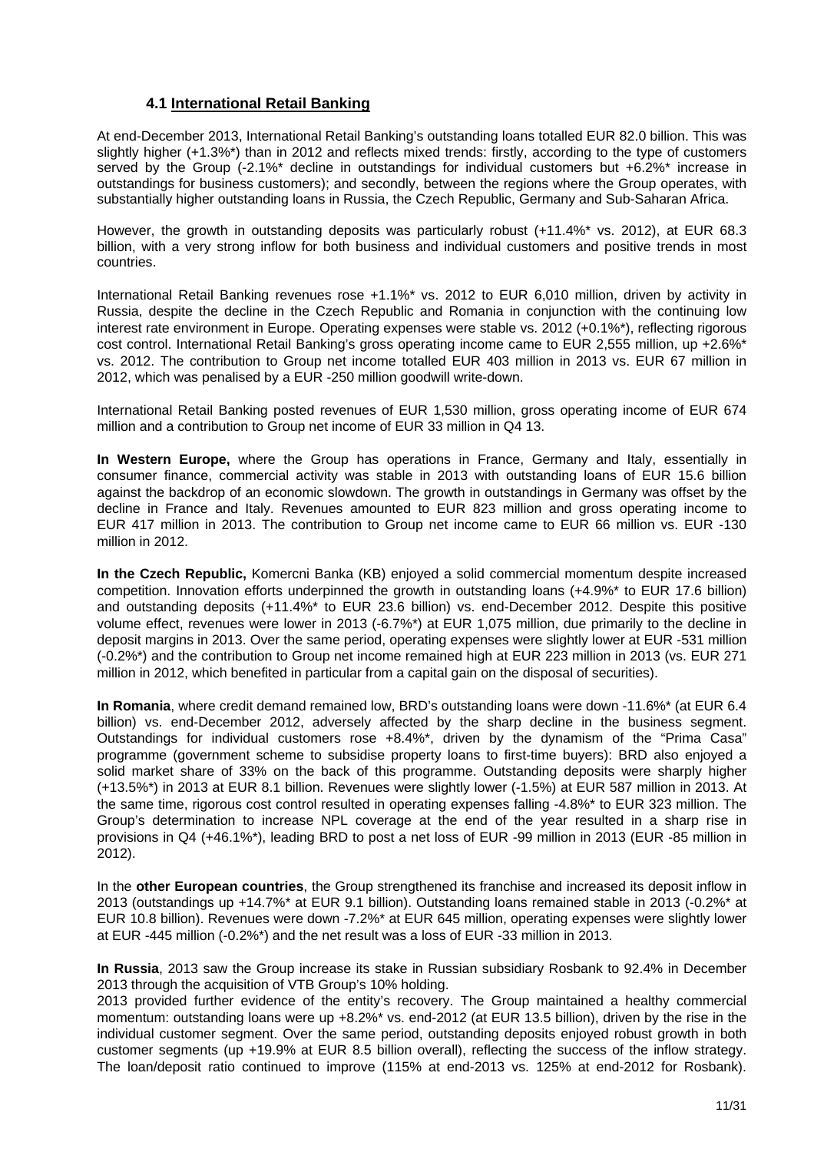#### **4.1 International Retail Banking**

At end-December 2013, International Retail Banking's outstanding loans totalled EUR 82.0 billion. This was slightly higher (+1.3%\*) than in 2012 and reflects mixed trends: firstly, according to the type of customers served by the Group (-2.1%<sup>\*</sup> decline in outstandings for individual customers but +6.2%<sup>\*</sup> increase in outstandings for business customers); and secondly, between the regions where the Group operates, with substantially higher outstanding loans in Russia, the Czech Republic, Germany and Sub-Saharan Africa.

However, the growth in outstanding deposits was particularly robust (+11.4%\* vs. 2012), at EUR 68.3 billion, with a very strong inflow for both business and individual customers and positive trends in most countries.

International Retail Banking revenues rose +1.1%\* vs. 2012 to EUR 6,010 million, driven by activity in Russia, despite the decline in the Czech Republic and Romania in conjunction with the continuing low interest rate environment in Europe. Operating expenses were stable vs. 2012 (+0.1%\*), reflecting rigorous cost control. International Retail Banking's gross operating income came to EUR 2,555 million, up +2.6%\* vs. 2012. The contribution to Group net income totalled EUR 403 million in 2013 vs. EUR 67 million in 2012, which was penalised by a EUR -250 million goodwill write-down.

International Retail Banking posted revenues of EUR 1,530 million, gross operating income of EUR 674 million and a contribution to Group net income of EUR 33 million in Q4 13.

**In Western Europe,** where the Group has operations in France, Germany and Italy, essentially in consumer finance, commercial activity was stable in 2013 with outstanding loans of EUR 15.6 billion against the backdrop of an economic slowdown. The growth in outstandings in Germany was offset by the decline in France and Italy. Revenues amounted to EUR 823 million and gross operating income to EUR 417 million in 2013. The contribution to Group net income came to EUR 66 million vs. EUR -130 million in 2012.

**In the Czech Republic,** Komercni Banka (KB) enjoyed a solid commercial momentum despite increased competition. Innovation efforts underpinned the growth in outstanding loans (+4.9%\* to EUR 17.6 billion) and outstanding deposits (+11.4%\* to EUR 23.6 billion) vs. end-December 2012. Despite this positive volume effect, revenues were lower in 2013 (-6.7%\*) at EUR 1,075 million, due primarily to the decline in deposit margins in 2013. Over the same period, operating expenses were slightly lower at EUR -531 million (-0.2%\*) and the contribution to Group net income remained high at EUR 223 million in 2013 (vs. EUR 271 million in 2012, which benefited in particular from a capital gain on the disposal of securities).

**In Romania**, where credit demand remained low, BRD's outstanding loans were down -11.6%\* (at EUR 6.4 billion) vs. end-December 2012, adversely affected by the sharp decline in the business segment. Outstandings for individual customers rose +8.4%\*, driven by the dynamism of the "Prima Casa" programme (government scheme to subsidise property loans to first-time buyers): BRD also enjoyed a solid market share of 33% on the back of this programme. Outstanding deposits were sharply higher (+13.5%\*) in 2013 at EUR 8.1 billion. Revenues were slightly lower (-1.5%) at EUR 587 million in 2013. At the same time, rigorous cost control resulted in operating expenses falling -4.8%\* to EUR 323 million. The Group's determination to increase NPL coverage at the end of the year resulted in a sharp rise in provisions in Q4 (+46.1%\*), leading BRD to post a net loss of EUR -99 million in 2013 (EUR -85 million in 2012).

In the **other European countries**, the Group strengthened its franchise and increased its deposit inflow in 2013 (outstandings up +14.7%\* at EUR 9.1 billion). Outstanding loans remained stable in 2013 (-0.2%\* at EUR 10.8 billion). Revenues were down -7.2%\* at EUR 645 million, operating expenses were slightly lower at EUR -445 million (-0.2%\*) and the net result was a loss of EUR -33 million in 2013.

**In Russia**, 2013 saw the Group increase its stake in Russian subsidiary Rosbank to 92.4% in December 2013 through the acquisition of VTB Group's 10% holding.

2013 provided further evidence of the entity's recovery. The Group maintained a healthy commercial momentum: outstanding loans were up +8.2%\* vs. end-2012 (at EUR 13.5 billion), driven by the rise in the individual customer segment. Over the same period, outstanding deposits enjoyed robust growth in both customer segments (up +19.9% at EUR 8.5 billion overall), reflecting the success of the inflow strategy. The loan/deposit ratio continued to improve (115% at end-2013 vs. 125% at end-2012 for Rosbank).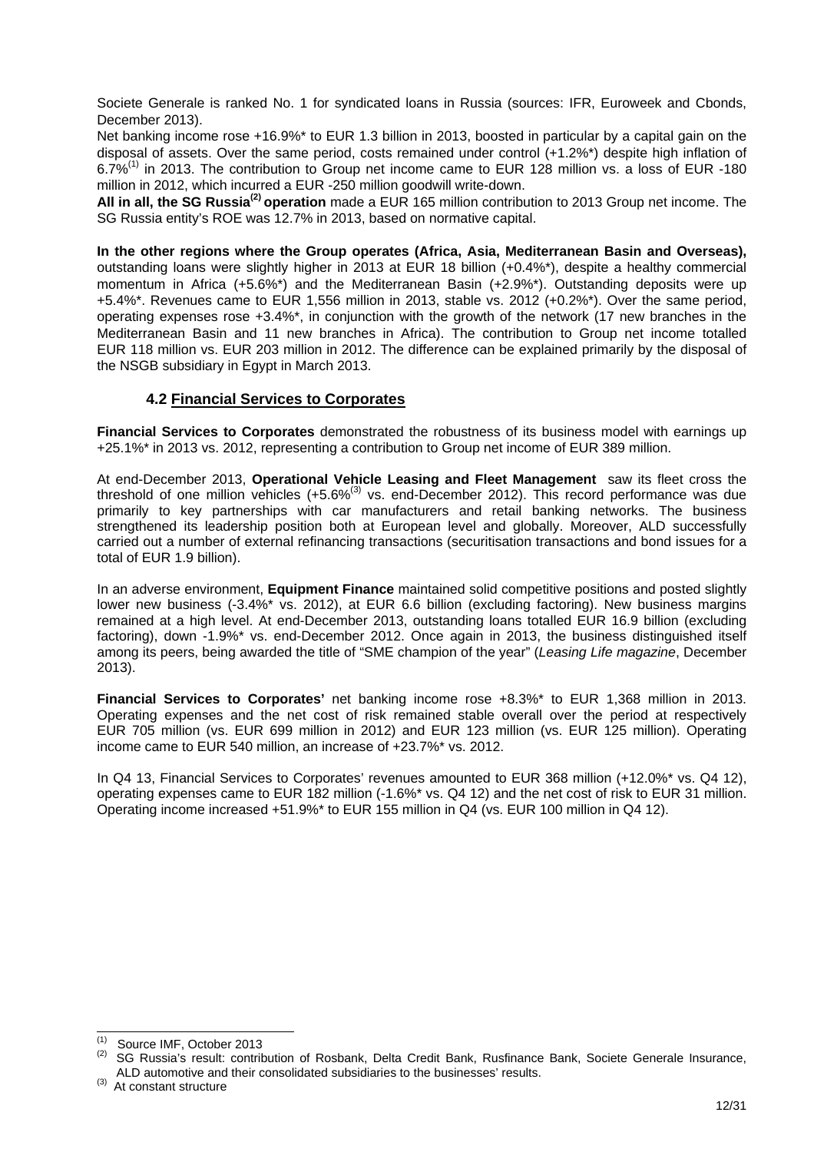Societe Generale is ranked No. 1 for syndicated loans in Russia (sources: IFR, Euroweek and Cbonds, December 2013).

Net banking income rose +16.9%<sup>\*</sup> to EUR 1.3 billion in 2013, boosted in particular by a capital gain on the disposal of assets. Over the same period, costs remained under control (+1.2%\*) despite high inflation of 6.7%(1) in 2013. The contribution to Group net income came to EUR 128 million vs. a loss of EUR -180 million in 2012, which incurred a EUR -250 million goodwill write-down.

**All in all, the SG Russia(2) operation** made a EUR 165 million contribution to 2013 Group net income. The SG Russia entity's ROE was 12.7% in 2013, based on normative capital.

**In the other regions where the Group operates (Africa, Asia, Mediterranean Basin and Overseas),**  outstanding loans were slightly higher in 2013 at EUR 18 billion (+0.4%\*), despite a healthy commercial momentum in Africa (+5.6%\*) and the Mediterranean Basin (+2.9%\*). Outstanding deposits were up +5.4%\*. Revenues came to EUR 1,556 million in 2013, stable vs. 2012 (+0.2%\*). Over the same period, operating expenses rose +3.4%\*, in conjunction with the growth of the network (17 new branches in the Mediterranean Basin and 11 new branches in Africa). The contribution to Group net income totalled EUR 118 million vs. EUR 203 million in 2012. The difference can be explained primarily by the disposal of the NSGB subsidiary in Egypt in March 2013.

#### **4.2 Financial Services to Corporates**

**Financial Services to Corporates** demonstrated the robustness of its business model with earnings up +25.1%\* in 2013 vs. 2012, representing a contribution to Group net income of EUR 389 million.

At end-December 2013, **Operational Vehicle Leasing and Fleet Management** saw its fleet cross the threshold of one million vehicles  $(+5.6\%^{(3)}$  vs. end-December 2012). This record performance was due primarily to key partnerships with car manufacturers and retail banking networks. The business strengthened its leadership position both at European level and globally. Moreover, ALD successfully carried out a number of external refinancing transactions (securitisation transactions and bond issues for a total of EUR 1.9 billion).

In an adverse environment, **Equipment Finance** maintained solid competitive positions and posted slightly lower new business (-3.4%\* vs. 2012), at EUR 6.6 billion (excluding factoring). New business margins remained at a high level. At end-December 2013, outstanding loans totalled EUR 16.9 billion (excluding factoring), down -1.9%\* vs. end-December 2012. Once again in 2013, the business distinguished itself among its peers, being awarded the title of "SME champion of the year" (*Leasing Life magazine*, December 2013).

**Financial Services to Corporates'** net banking income rose +8.3%\* to EUR 1,368 million in 2013. Operating expenses and the net cost of risk remained stable overall over the period at respectively EUR 705 million (vs. EUR 699 million in 2012) and EUR 123 million (vs. EUR 125 million). Operating income came to EUR 540 million, an increase of +23.7%\* vs. 2012.

In Q4 13, Financial Services to Corporates' revenues amounted to EUR 368 million (+12.0%\* vs. Q4 12), operating expenses came to EUR 182 million (-1.6%\* vs. Q4 12) and the net cost of risk to EUR 31 million. Operating income increased +51.9%\* to EUR 155 million in Q4 (vs. EUR 100 million in Q4 12).

 $\overline{a}$ 

Source IMF, October 2013

<sup>&</sup>lt;sup>(2)</sup> SG Russia's result: contribution of Rosbank, Delta Credit Bank, Rusfinance Bank, Societe Generale Insurance, ALD automotive and their consolidated subsidiaries to the businesses' results.

<sup>(3)</sup> At constant structure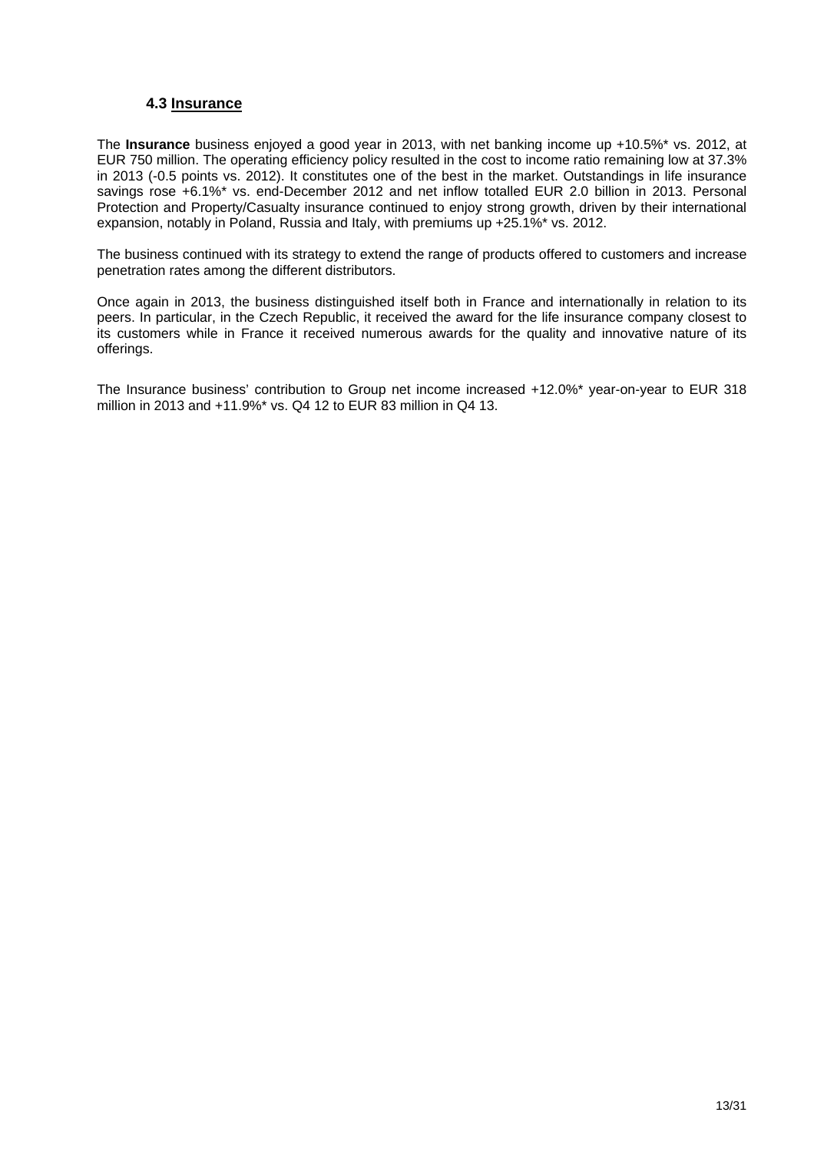#### **4.3 Insurance**

The **Insurance** business enjoyed a good year in 2013, with net banking income up +10.5%\* vs. 2012, at EUR 750 million. The operating efficiency policy resulted in the cost to income ratio remaining low at 37.3% in 2013 (-0.5 points vs. 2012). It constitutes one of the best in the market. Outstandings in life insurance savings rose +6.1%\* vs. end-December 2012 and net inflow totalled EUR 2.0 billion in 2013. Personal Protection and Property/Casualty insurance continued to enjoy strong growth, driven by their international expansion, notably in Poland, Russia and Italy, with premiums up +25.1%\* vs. 2012.

The business continued with its strategy to extend the range of products offered to customers and increase penetration rates among the different distributors.

Once again in 2013, the business distinguished itself both in France and internationally in relation to its peers. In particular, in the Czech Republic, it received the award for the life insurance company closest to its customers while in France it received numerous awards for the quality and innovative nature of its offerings.

The Insurance business' contribution to Group net income increased +12.0%\* year-on-year to EUR 318 million in 2013 and +11.9%\* vs. Q4 12 to EUR 83 million in Q4 13.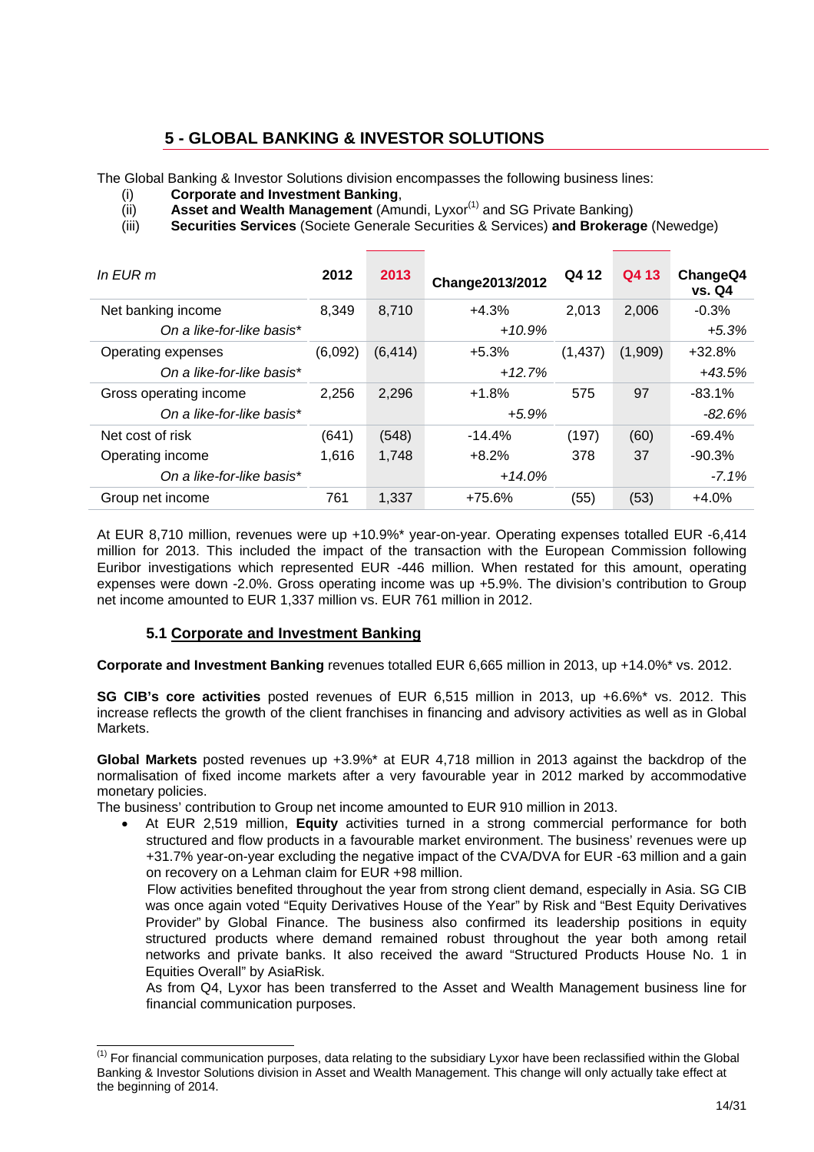## **5 - GLOBAL BANKING & INVESTOR SOLUTIONS**

The Global Banking & Investor Solutions division encompasses the following business lines:

- (i) **Corporate and Investment Banking**,
- (ii) **Asset and Wealth Management** (Amundi, Lyxor<sup>(1)</sup> and SG Private Banking)
- (iii) **Securities Services** (Societe Generale Securities & Services) **and Brokerage** (Newedge)

| In $E$ UR m               | 2012                | 2013  | Change2013/2012 | Q4 12    | Q4 13    | ChangeQ4<br><b>vs. Q4</b> |
|---------------------------|---------------------|-------|-----------------|----------|----------|---------------------------|
| Net banking income        | 8,349               | 8,710 | $+4.3%$         | 2.013    | 2,006    | $-0.3%$                   |
| On a like-for-like basis* |                     |       | $+10.9%$        |          | $+5.3%$  |                           |
| Operating expenses        | (6, 414)<br>(6,092) |       | $+5.3%$         | (1, 437) |          | $+32.8%$                  |
| On a like-for-like basis* |                     |       | $+12.7%$        |          | $+43.5%$ |                           |
| Gross operating income    | 2,256               | 2,296 | $+1.8%$         | 575      | 97       | $-83.1%$                  |
| On a like-for-like basis* |                     |       | $+5.9%$         |          |          | $-82.6%$                  |
| Net cost of risk          | (641)               | (548) | $-14.4%$        | (197)    | (60)     | $-69.4%$                  |
| Operating income          | 1.616               | 1,748 | $+8.2%$         | 378      | 37       | $-90.3%$                  |
| On a like-for-like basis* |                     |       | $+14.0%$        |          | $-7.1%$  |                           |
| Group net income          | 761                 | 1,337 | $+75.6%$        | (55)     | (53)     | $+4.0%$                   |

At EUR 8,710 million, revenues were up +10.9%\* year-on-year. Operating expenses totalled EUR -6,414 million for 2013. This included the impact of the transaction with the European Commission following Euribor investigations which represented EUR -446 million. When restated for this amount, operating expenses were down -2.0%. Gross operating income was up +5.9%. The division's contribution to Group net income amounted to EUR 1,337 million vs. EUR 761 million in 2012.

### **5.1 Corporate and Investment Banking**

 $\overline{a}$ 

**Corporate and Investment Banking** revenues totalled EUR 6,665 million in 2013, up +14.0%\* vs. 2012.

**SG CIB's core activities** posted revenues of EUR 6,515 million in 2013, up +6.6%\* vs. 2012. This increase reflects the growth of the client franchises in financing and advisory activities as well as in Global Markets.

**Global Markets** posted revenues up +3.9%\* at EUR 4,718 million in 2013 against the backdrop of the normalisation of fixed income markets after a very favourable year in 2012 marked by accommodative monetary policies.

The business' contribution to Group net income amounted to EUR 910 million in 2013.

 At EUR 2,519 million, **Equity** activities turned in a strong commercial performance for both structured and flow products in a favourable market environment. The business' revenues were up +31.7% year-on-year excluding the negative impact of the CVA/DVA for EUR -63 million and a gain on recovery on a Lehman claim for EUR +98 million.

 Flow activities benefited throughout the year from strong client demand, especially in Asia. SG CIB was once again voted "Equity Derivatives House of the Year" by Risk and "Best Equity Derivatives Provider" by Global Finance. The business also confirmed its leadership positions in equity structured products where demand remained robust throughout the year both among retail networks and private banks. It also received the award "Structured Products House No. 1 in Equities Overall" by AsiaRisk.

As from Q4, Lyxor has been transferred to the Asset and Wealth Management business line for financial communication purposes.

 $(1)$  For financial communication purposes, data relating to the subsidiary Lyxor have been reclassified within the Global Banking & Investor Solutions division in Asset and Wealth Management. This change will only actually take effect at the beginning of 2014.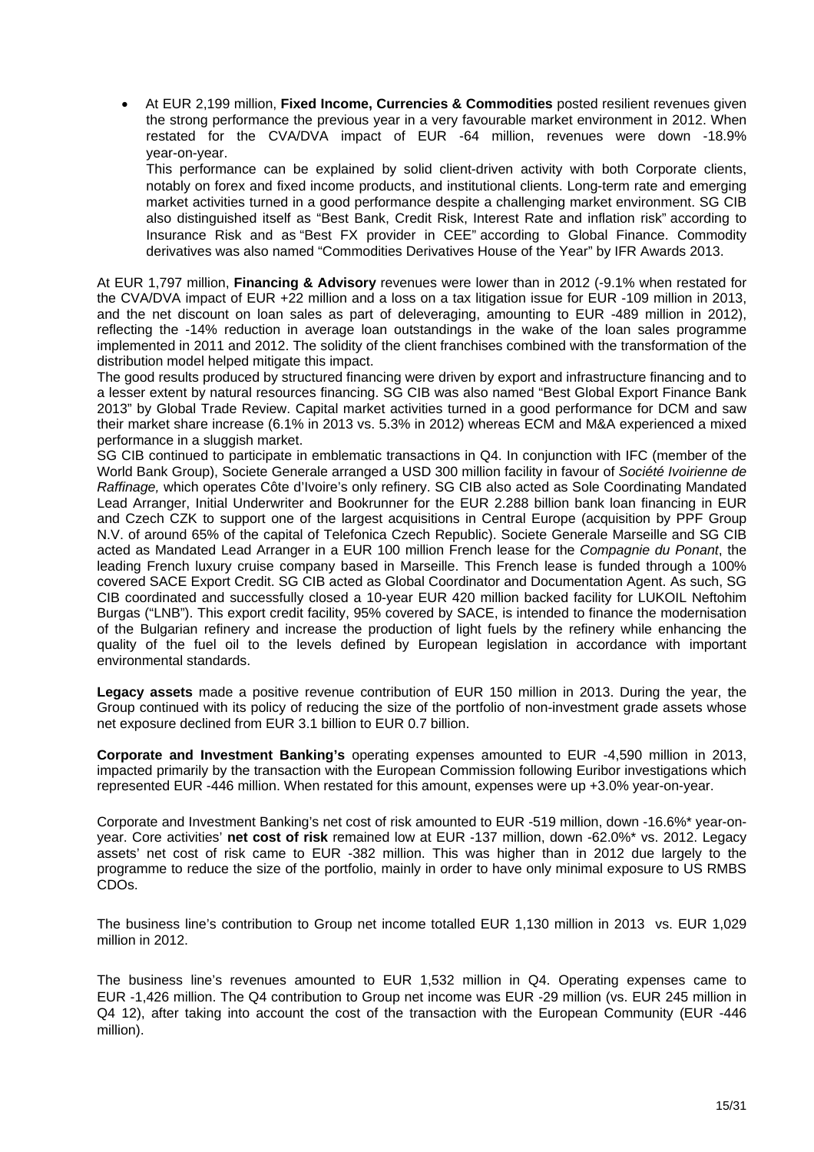At EUR 2,199 million, **Fixed Income, Currencies & Commodities** posted resilient revenues given the strong performance the previous year in a very favourable market environment in 2012. When restated for the CVA/DVA impact of EUR -64 million, revenues were down -18.9% year-on-year.

This performance can be explained by solid client-driven activity with both Corporate clients, notably on forex and fixed income products, and institutional clients. Long-term rate and emerging market activities turned in a good performance despite a challenging market environment. SG CIB also distinguished itself as "Best Bank, Credit Risk, Interest Rate and inflation risk" according to Insurance Risk and as "Best FX provider in CEE" according to Global Finance. Commodity derivatives was also named "Commodities Derivatives House of the Year" by IFR Awards 2013.

At EUR 1,797 million, **Financing & Advisory** revenues were lower than in 2012 (-9.1% when restated for the CVA/DVA impact of EUR +22 million and a loss on a tax litigation issue for EUR -109 million in 2013, and the net discount on loan sales as part of deleveraging, amounting to EUR -489 million in 2012), reflecting the -14% reduction in average loan outstandings in the wake of the loan sales programme implemented in 2011 and 2012. The solidity of the client franchises combined with the transformation of the distribution model helped mitigate this impact.

The good results produced by structured financing were driven by export and infrastructure financing and to a lesser extent by natural resources financing. SG CIB was also named "Best Global Export Finance Bank 2013" by Global Trade Review. Capital market activities turned in a good performance for DCM and saw their market share increase (6.1% in 2013 vs. 5.3% in 2012) whereas ECM and M&A experienced a mixed performance in a sluggish market.

SG CIB continued to participate in emblematic transactions in Q4. In conjunction with IFC (member of the World Bank Group), Societe Generale arranged a USD 300 million facility in favour of *Société Ivoirienne de Raffinage,* which operates Côte d'Ivoire's only refinery. SG CIB also acted as Sole Coordinating Mandated Lead Arranger, Initial Underwriter and Bookrunner for the EUR 2.288 billion bank loan financing in EUR and Czech CZK to support one of the largest acquisitions in Central Europe (acquisition by PPF Group N.V. of around 65% of the capital of Telefonica Czech Republic). Societe Generale Marseille and SG CIB acted as Mandated Lead Arranger in a EUR 100 million French lease for the *Compagnie du Ponant*, the leading French luxury cruise company based in Marseille. This French lease is funded through a 100% covered SACE Export Credit. SG CIB acted as Global Coordinator and Documentation Agent. As such, SG CIB coordinated and successfully closed a 10-year EUR 420 million backed facility for LUKOIL Neftohim Burgas ("LNB"). This export credit facility, 95% covered by SACE, is intended to finance the modernisation of the Bulgarian refinery and increase the production of light fuels by the refinery while enhancing the quality of the fuel oil to the levels defined by European legislation in accordance with important environmental standards.

**Legacy assets** made a positive revenue contribution of EUR 150 million in 2013. During the year, the Group continued with its policy of reducing the size of the portfolio of non-investment grade assets whose net exposure declined from EUR 3.1 billion to EUR 0.7 billion.

**Corporate and Investment Banking's** operating expenses amounted to EUR -4,590 million in 2013, impacted primarily by the transaction with the European Commission following Euribor investigations which represented EUR -446 million. When restated for this amount, expenses were up +3.0% year-on-year.

Corporate and Investment Banking's net cost of risk amounted to EUR -519 million, down -16.6%\* year-onyear. Core activities' **net cost of risk** remained low at EUR -137 million, down -62.0%\* vs. 2012. Legacy assets' net cost of risk came to EUR -382 million. This was higher than in 2012 due largely to the programme to reduce the size of the portfolio, mainly in order to have only minimal exposure to US RMBS CDOs.

The business line's contribution to Group net income totalled EUR 1,130 million in 2013 vs. EUR 1,029 million in 2012.

The business line's revenues amounted to EUR 1,532 million in Q4. Operating expenses came to EUR -1,426 million. The Q4 contribution to Group net income was EUR -29 million (vs. EUR 245 million in Q4 12), after taking into account the cost of the transaction with the European Community (EUR -446 million).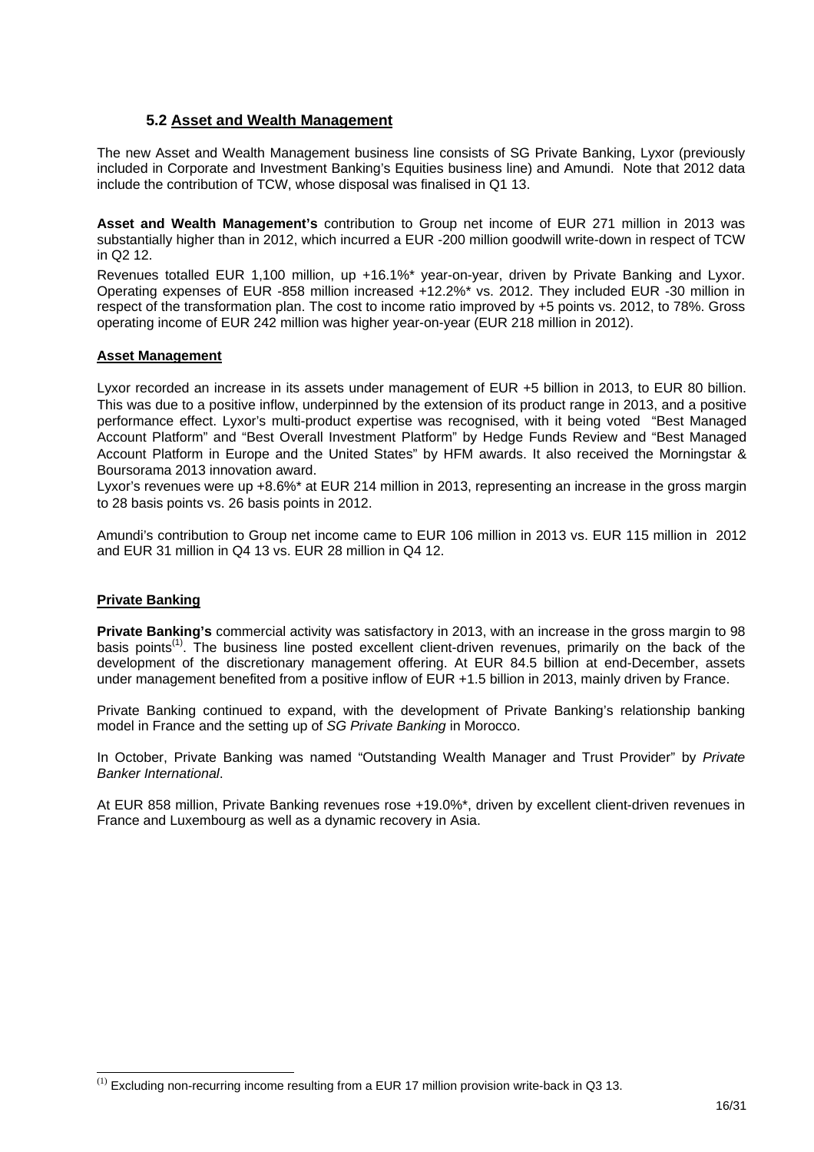#### **5.2 Asset and Wealth Management**

The new Asset and Wealth Management business line consists of SG Private Banking, Lyxor (previously included in Corporate and Investment Banking's Equities business line) and Amundi. Note that 2012 data include the contribution of TCW, whose disposal was finalised in Q1 13.

**Asset and Wealth Management's** contribution to Group net income of EUR 271 million in 2013 was substantially higher than in 2012, which incurred a EUR -200 million goodwill write-down in respect of TCW in Q2 12.

Revenues totalled EUR 1,100 million, up +16.1%\* year-on-year, driven by Private Banking and Lyxor. Operating expenses of EUR -858 million increased +12.2%\* vs. 2012. They included EUR -30 million in respect of the transformation plan. The cost to income ratio improved by +5 points vs. 2012, to 78%. Gross operating income of EUR 242 million was higher year-on-year (EUR 218 million in 2012).

#### **Asset Management**

Lyxor recorded an increase in its assets under management of EUR +5 billion in 2013, to EUR 80 billion. This was due to a positive inflow, underpinned by the extension of its product range in 2013, and a positive performance effect. Lyxor's multi-product expertise was recognised, with it being voted "Best Managed Account Platform" and "Best Overall Investment Platform" by Hedge Funds Review and "Best Managed Account Platform in Europe and the United States" by HFM awards. It also received the Morningstar & Boursorama 2013 innovation award.

Lyxor's revenues were up +8.6%\* at EUR 214 million in 2013, representing an increase in the gross margin to 28 basis points vs. 26 basis points in 2012.

Amundi's contribution to Group net income came to EUR 106 million in 2013 vs. EUR 115 million in 2012 and EUR 31 million in Q4 13 vs. EUR 28 million in Q4 12.

#### **Private Banking**

l

**Private Banking's** commercial activity was satisfactory in 2013, with an increase in the gross margin to 98 basis points<sup>(1)</sup>. The business line posted excellent client-driven revenues, primarily on the back of the development of the discretionary management offering. At EUR 84.5 billion at end-December, assets under management benefited from a positive inflow of EUR +1.5 billion in 2013, mainly driven by France.

Private Banking continued to expand, with the development of Private Banking's relationship banking model in France and the setting up of *SG Private Banking* in Morocco.

In October, Private Banking was named "Outstanding Wealth Manager and Trust Provider" by *Private Banker International*.

At EUR 858 million, Private Banking revenues rose +19.0%\*, driven by excellent client-driven revenues in France and Luxembourg as well as a dynamic recovery in Asia.

 $^{(1)}$  Excluding non-recurring income resulting from a EUR 17 million provision write-back in Q3 13.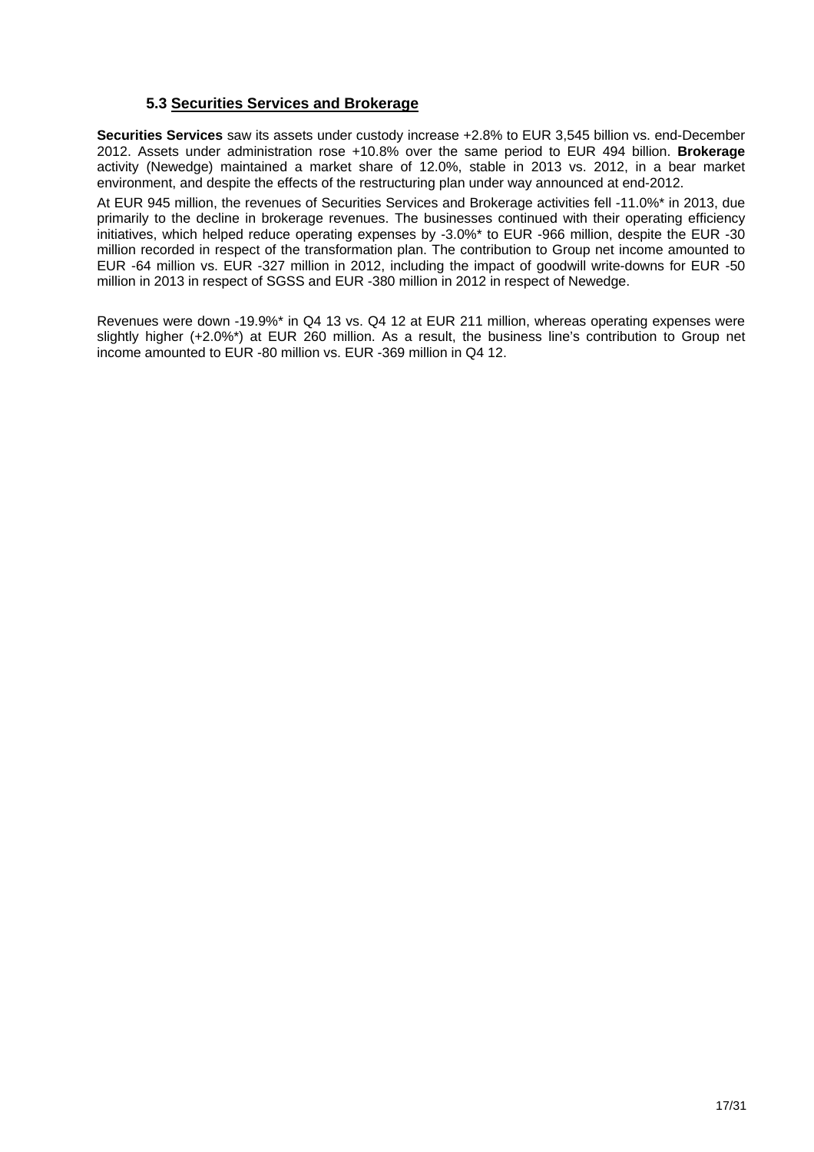#### **5.3 Securities Services and Brokerage**

**Securities Services** saw its assets under custody increase +2.8% to EUR 3,545 billion vs. end-December 2012. Assets under administration rose +10.8% over the same period to EUR 494 billion. **Brokerage** activity (Newedge) maintained a market share of 12.0%, stable in 2013 vs. 2012, in a bear market environment, and despite the effects of the restructuring plan under way announced at end-2012.

At EUR 945 million, the revenues of Securities Services and Brokerage activities fell -11.0%\* in 2013, due primarily to the decline in brokerage revenues. The businesses continued with their operating efficiency initiatives, which helped reduce operating expenses by -3.0%\* to EUR -966 million, despite the EUR -30 million recorded in respect of the transformation plan. The contribution to Group net income amounted to EUR -64 million vs. EUR -327 million in 2012, including the impact of goodwill write-downs for EUR -50 million in 2013 in respect of SGSS and EUR -380 million in 2012 in respect of Newedge.

Revenues were down -19.9%\* in Q4 13 vs. Q4 12 at EUR 211 million, whereas operating expenses were slightly higher (+2.0%\*) at EUR 260 million. As a result, the business line's contribution to Group net income amounted to EUR -80 million vs. EUR -369 million in Q4 12.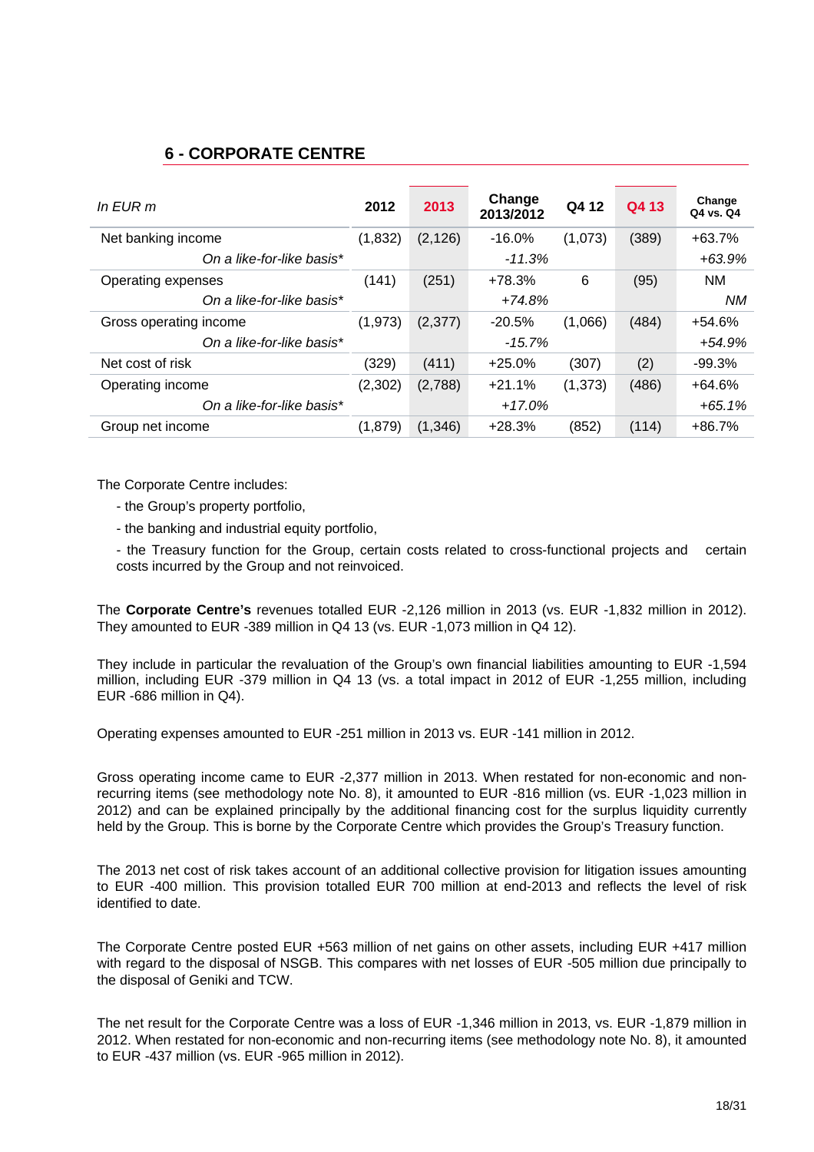### **6 - CORPORATE CENTRE**

| In $E$ UR m               | 2012    | 2013     | Change<br>2013/2012 | Q4 12    | Q4 13 | Change<br>Q4 vs. Q4 |
|---------------------------|---------|----------|---------------------|----------|-------|---------------------|
| Net banking income        | (1,832) | (2, 126) | $-16.0%$            | (1,073)  | (389) | $+63.7%$            |
| On a like-for-like basis* |         |          | $-11.3%$            |          |       | $+63.9%$            |
| Operating expenses        | (141)   | (251)    | +78.3%              | 6        | (95)  | <b>NM</b>           |
| On a like-for-like basis* |         |          | $+74.8%$            |          |       | NM.                 |
| Gross operating income    | (1,973) | (2,377)  | $-20.5%$            | (1,066)  | (484) | $+54.6%$            |
| On a like-for-like basis* |         |          | $-15.7%$            |          |       | +54.9%              |
| Net cost of risk          | (329)   | (411)    | $+25.0%$            | (307)    | (2)   | $-99.3%$            |
| Operating income          | (2,302) | (2,788)  | $+21.1%$            | (1, 373) | (486) | $+64.6%$            |
| On a like-for-like basis* |         |          | $+17.0%$            |          |       | $+65.1%$            |
| Group net income          | (1,879) | (1,346)  | $+28.3%$            | (852)    | (114) | $+86.7%$            |

The Corporate Centre includes:

- the Group's property portfolio,
- the banking and industrial equity portfolio,

- the Treasury function for the Group, certain costs related to cross-functional projects and certain costs incurred by the Group and not reinvoiced.

The **Corporate Centre's** revenues totalled EUR -2,126 million in 2013 (vs. EUR -1,832 million in 2012). They amounted to EUR -389 million in Q4 13 (vs. EUR -1,073 million in Q4 12).

They include in particular the revaluation of the Group's own financial liabilities amounting to EUR -1,594 million, including EUR -379 million in Q4 13 (vs. a total impact in 2012 of EUR -1,255 million, including EUR -686 million in Q4).

Operating expenses amounted to EUR -251 million in 2013 vs. EUR -141 million in 2012.

Gross operating income came to EUR -2,377 million in 2013. When restated for non-economic and nonrecurring items (see methodology note No. 8), it amounted to EUR -816 million (vs. EUR -1,023 million in 2012) and can be explained principally by the additional financing cost for the surplus liquidity currently held by the Group. This is borne by the Corporate Centre which provides the Group's Treasury function.

The 2013 net cost of risk takes account of an additional collective provision for litigation issues amounting to EUR -400 million. This provision totalled EUR 700 million at end-2013 and reflects the level of risk identified to date.

The Corporate Centre posted EUR +563 million of net gains on other assets, including EUR +417 million with regard to the disposal of NSGB. This compares with net losses of EUR -505 million due principally to the disposal of Geniki and TCW.

The net result for the Corporate Centre was a loss of EUR -1,346 million in 2013, vs. EUR -1,879 million in 2012. When restated for non-economic and non-recurring items (see methodology note No. 8), it amounted to EUR -437 million (vs. EUR -965 million in 2012).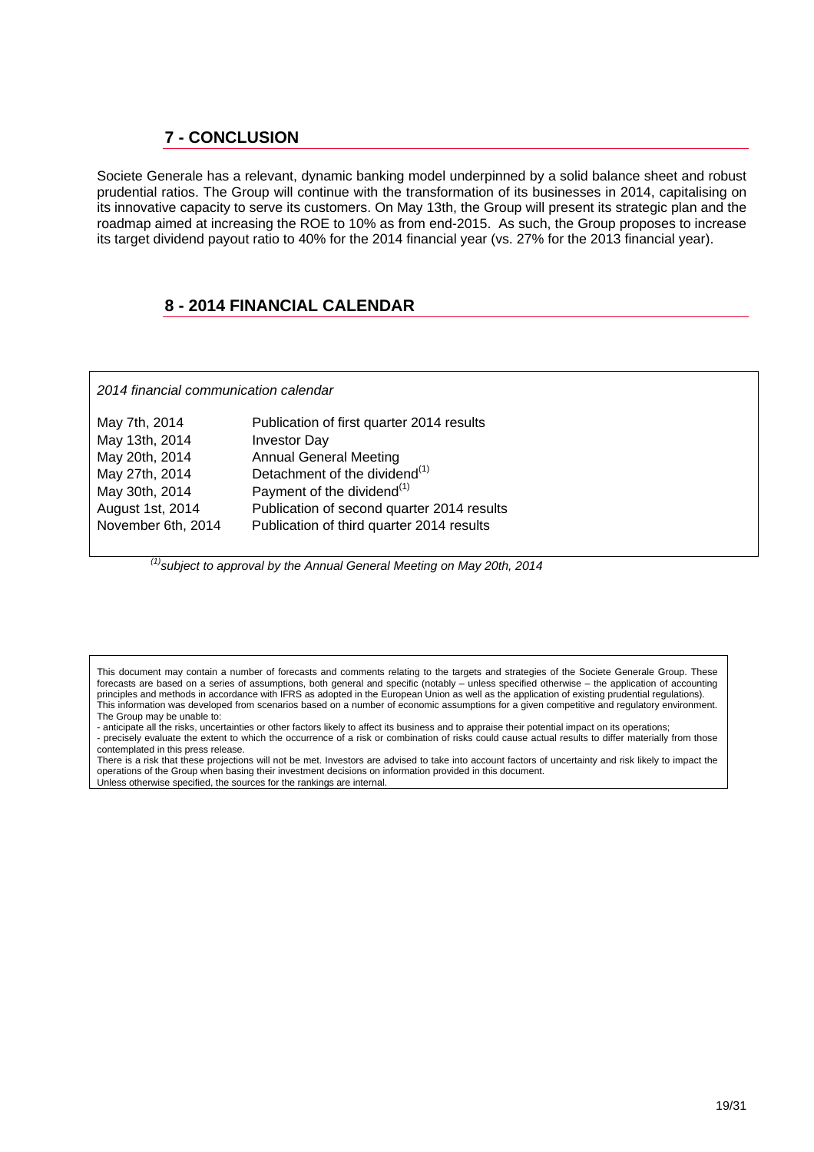### **7 - CONCLUSION**

Societe Generale has a relevant, dynamic banking model underpinned by a solid balance sheet and robust prudential ratios. The Group will continue with the transformation of its businesses in 2014, capitalising on its innovative capacity to serve its customers. On May 13th, the Group will present its strategic plan and the roadmap aimed at increasing the ROE to 10% as from end-2015. As such, the Group proposes to increase its target dividend payout ratio to 40% for the 2014 financial year (vs. 27% for the 2013 financial year).

### **8 - 2014 FINANCIAL CALENDAR**

*2014 financial communication calendar* 

Unless otherwise specified, the sources for the rankings are internal.

| May 7th, 2014      | Publication of first quarter 2014 results  |
|--------------------|--------------------------------------------|
| May 13th, 2014     | <b>Investor Day</b>                        |
| May 20th, 2014     | <b>Annual General Meeting</b>              |
| May 27th, 2014     | Detachment of the dividend <sup>(1)</sup>  |
| May 30th, 2014     | Payment of the dividend <sup>(1)</sup>     |
| August 1st, 2014   | Publication of second quarter 2014 results |
| November 6th, 2014 | Publication of third quarter 2014 results  |

*(1)subject to approval by the Annual General Meeting on May 20th, 2014* 

This document may contain a number of forecasts and comments relating to the targets and strategies of the Societe Generale Group. These forecasts are based on a series of assumptions, both general and specific (notably – unless specified otherwise – the application of accounting principles and methods in accordance with IFRS as adopted in the European Union as well as the application of existing prudential regulations). This information was developed from scenarios based on a number of economic assumptions for a given competitive and regulatory environment. The Group may be unable to:

- anticipate all the risks, uncertainties or other factors likely to affect its business and to appraise their potential impact on its operations; - precisely evaluate the extent to which the occurrence of a risk or combination of risks could cause actual results to differ materially from those

contemplated in this press release. There is a risk that these projections will not be met. Investors are advised to take into account factors of uncertainty and risk likely to impact the operations of the Group when basing their investment decisions on information provided in this document.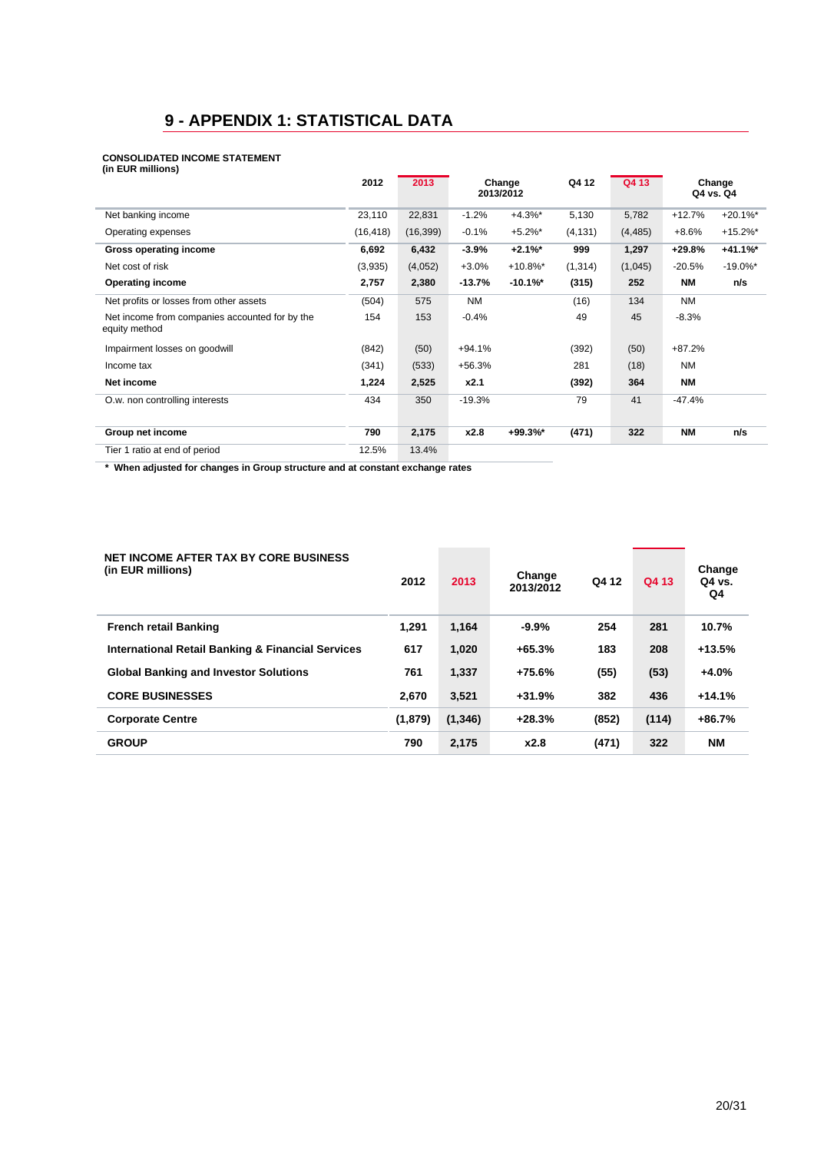## **9 - APPENDIX 1: STATISTICAL DATA**

#### **CONSOLIDATED INCOME STATEMENT**

| (in EUR millions)                                               |           |           |           |                     |          |          |           |                     |
|-----------------------------------------------------------------|-----------|-----------|-----------|---------------------|----------|----------|-----------|---------------------|
|                                                                 | 2012      | 2013      |           | Change<br>2013/2012 | Q4 12    | Q4 13    |           | Change<br>Q4 vs. Q4 |
| Net banking income                                              | 23,110    | 22,831    | $-1.2%$   | $+4.3%$             | 5,130    | 5,782    | $+12.7%$  | $+20.1\%$ *         |
| Operating expenses                                              | (16, 418) | (16, 399) | $-0.1%$   | $+5.2%$ *           | (4, 131) | (4, 485) | $+8.6%$   | $+15.2\%$ *         |
| <b>Gross operating income</b>                                   | 6,692     | 6,432     | $-3.9%$   | $+2.1%$             | 999      | 1,297    | $+29.8%$  | $+41.1%$            |
| Net cost of risk                                                | (3,935)   | (4,052)   | $+3.0%$   | $+10.8\%$ *         | (1, 314) | (1,045)  | $-20.5%$  | $-19.0\%$ *         |
| <b>Operating income</b>                                         | 2,757     | 2,380     | $-13.7%$  | $-10.1\%$ *         | (315)    | 252      | <b>NM</b> | n/s                 |
| Net profits or losses from other assets                         | (504)     | 575       | <b>NM</b> |                     | (16)     | 134      | <b>NM</b> |                     |
| Net income from companies accounted for by the<br>equity method | 154       | 153       | $-0.4%$   |                     | 49       | 45       | $-8.3%$   |                     |
| Impairment losses on goodwill                                   | (842)     | (50)      | $+94.1%$  |                     | (392)    | (50)     | $+87.2%$  |                     |
| Income tax                                                      | (341)     | (533)     | $+56.3%$  |                     | 281      | (18)     | <b>NM</b> |                     |
| Net income                                                      | 1,224     | 2,525     | x2.1      |                     | (392)    | 364      | <b>NM</b> |                     |
| O.w. non controlling interests                                  | 434       | 350       | $-19.3%$  |                     | 79       | 41       | -47.4%    |                     |
| Group net income                                                | 790       | 2,175     | x2.8      | $+99.3%$            | (471)    | 322      | <b>NM</b> | n/s                 |
| Tier 1 ratio at end of period                                   | 12.5%     | 13.4%     |           |                     |          |          |           |                     |

 **\* When adjusted for changes in Group structure and at constant exchange rates** 

| <b>NET INCOME AFTER TAX BY CORE BUSINESS</b><br>(in EUR millions) | 2012    | 2013     | Change<br>2013/2012 | Q4 12 | Q4 13 | Change<br>Q4 vs.<br>Q4 |
|-------------------------------------------------------------------|---------|----------|---------------------|-------|-------|------------------------|
| <b>French retail Banking</b>                                      | 1.291   | 1,164    | $-9.9%$             | 254   | 281   | 10.7%                  |
| <b>International Retail Banking &amp; Financial Services</b>      | 617     | 1.020    | $+65.3%$            | 183   | 208   | $+13.5%$               |
| <b>Global Banking and Investor Solutions</b>                      | 761     | 1.337    | $+75.6%$            | (55)  | (53)  | $+4.0%$                |
| <b>CORE BUSINESSES</b>                                            | 2.670   | 3,521    | $+31.9%$            | 382   | 436   | $+14.1%$               |
| <b>Corporate Centre</b>                                           | (1,879) | (1, 346) | $+28.3%$            | (852) | (114) | $+86.7%$               |
| <b>GROUP</b>                                                      | 790     | 2.175    | x2.8                | (471) | 322   | <b>NM</b>              |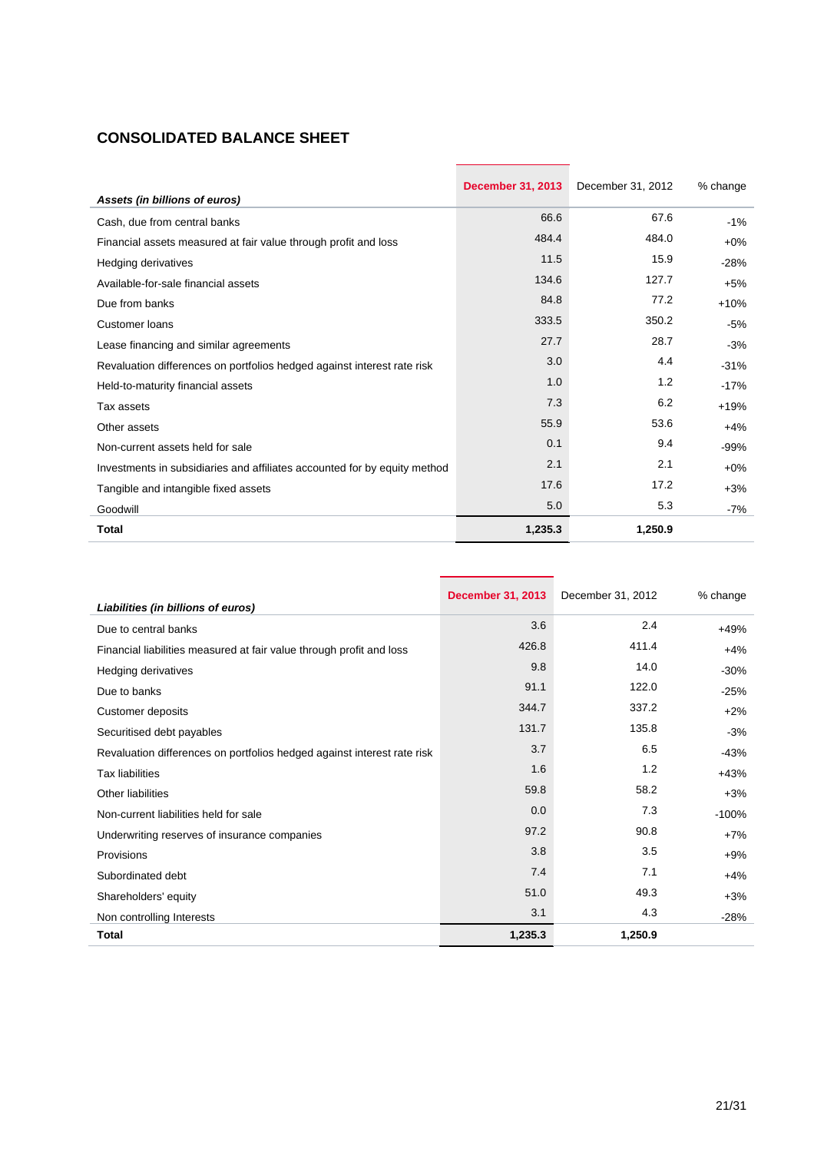## **CONSOLIDATED BALANCE SHEET**

|                                                                           | <b>December 31, 2013</b> | December 31, 2012 | % change |
|---------------------------------------------------------------------------|--------------------------|-------------------|----------|
| Assets (in billions of euros)                                             |                          |                   |          |
| Cash, due from central banks                                              | 66.6                     | 67.6              | $-1%$    |
| Financial assets measured at fair value through profit and loss           | 484.4                    | 484.0             | $+0\%$   |
| Hedging derivatives                                                       | 11.5                     | 15.9              | $-28%$   |
| Available-for-sale financial assets                                       | 134.6                    | 127.7             | $+5%$    |
| Due from banks                                                            | 84.8                     | 77.2              | $+10%$   |
| Customer loans                                                            | 333.5                    | 350.2             | $-5%$    |
| Lease financing and similar agreements                                    | 27.7                     | 28.7              | $-3%$    |
| Revaluation differences on portfolios hedged against interest rate risk   | 3.0                      | 4.4               | $-31%$   |
| Held-to-maturity financial assets                                         | 1.0                      | 1.2               | $-17%$   |
| Tax assets                                                                | 7.3                      | 6.2               | $+19%$   |
| Other assets                                                              | 55.9                     | 53.6              | $+4%$    |
| Non-current assets held for sale                                          | 0.1                      | 9.4               | $-99%$   |
| Investments in subsidiaries and affiliates accounted for by equity method | 2.1                      | 2.1               | $+0\%$   |
| Tangible and intangible fixed assets                                      | 17.6                     | 17.2              | $+3%$    |
| Goodwill                                                                  | 5.0                      | 5.3               | $-7%$    |
| Total                                                                     | 1,235.3                  | 1,250.9           |          |

| Liabilities (in billions of euros)                                      | <b>December 31, 2013</b> | December 31, 2012 | % change |
|-------------------------------------------------------------------------|--------------------------|-------------------|----------|
| Due to central banks                                                    | 3.6                      | 2.4               | $+49%$   |
| Financial liabilities measured at fair value through profit and loss    | 426.8                    | 411.4             | $+4%$    |
| Hedging derivatives                                                     | 9.8                      | 14.0              | $-30%$   |
| Due to banks                                                            | 91.1                     | 122.0             | $-25%$   |
| Customer deposits                                                       | 344.7                    | 337.2             | $+2%$    |
| Securitised debt payables                                               | 131.7                    | 135.8             | $-3%$    |
| Revaluation differences on portfolios hedged against interest rate risk | 3.7                      | 6.5               | $-43%$   |
| <b>Tax liabilities</b>                                                  | 1.6                      | 1.2               | $+43%$   |
| <b>Other liabilities</b>                                                | 59.8                     | 58.2              | $+3%$    |
| Non-current liabilities held for sale                                   | 0.0                      | 7.3               | $-100%$  |
| Underwriting reserves of insurance companies                            | 97.2                     | 90.8              | $+7%$    |
| Provisions                                                              | 3.8                      | 3.5               | $+9%$    |
| Subordinated debt                                                       | 7.4                      | 7.1               | $+4%$    |
| Shareholders' equity                                                    | 51.0                     | 49.3              | $+3%$    |
| Non controlling Interests                                               | 3.1                      | 4.3               | $-28%$   |
| <b>Total</b>                                                            | 1,235.3                  | 1,250.9           |          |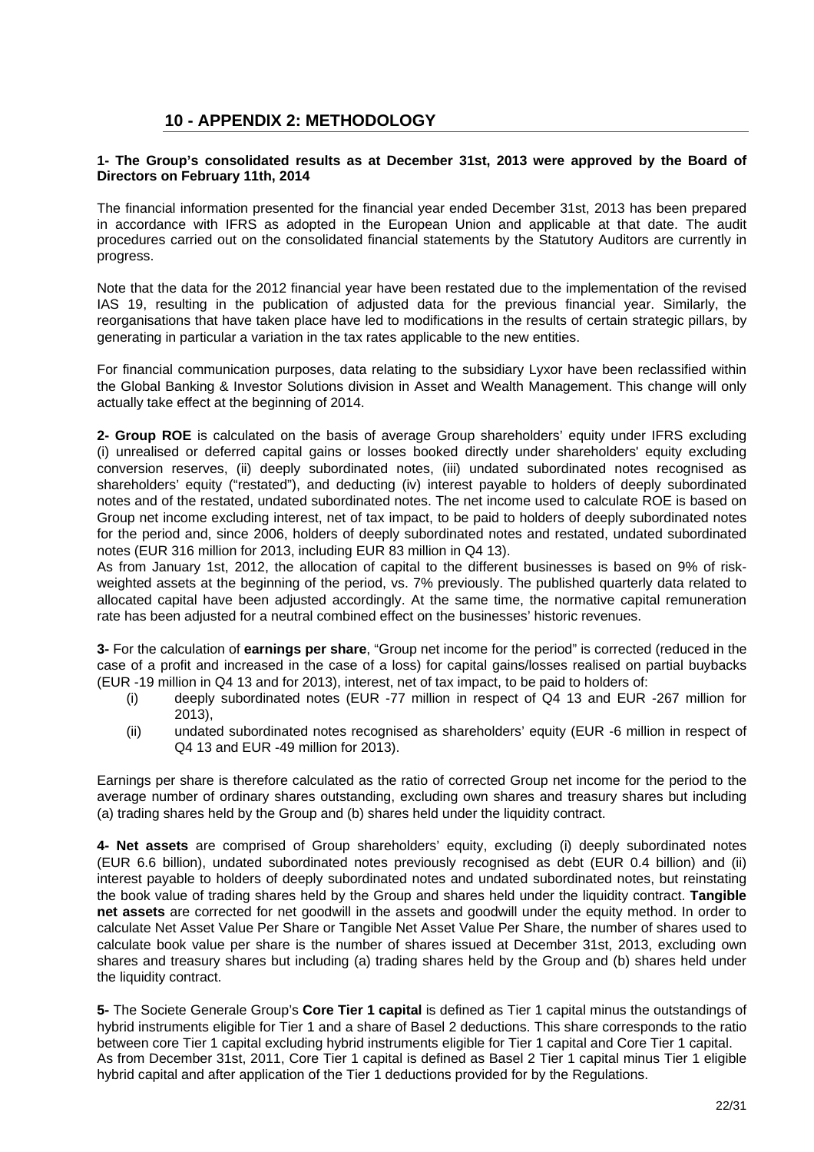### **10 - APPENDIX 2: METHODOLOGY**

#### **1- The Group's consolidated results as at December 31st, 2013 were approved by the Board of Directors on February 11th, 2014**

The financial information presented for the financial year ended December 31st, 2013 has been prepared in accordance with IFRS as adopted in the European Union and applicable at that date. The audit procedures carried out on the consolidated financial statements by the Statutory Auditors are currently in progress.

Note that the data for the 2012 financial year have been restated due to the implementation of the revised IAS 19, resulting in the publication of adjusted data for the previous financial year. Similarly, the reorganisations that have taken place have led to modifications in the results of certain strategic pillars, by generating in particular a variation in the tax rates applicable to the new entities.

For financial communication purposes, data relating to the subsidiary Lyxor have been reclassified within the Global Banking & Investor Solutions division in Asset and Wealth Management. This change will only actually take effect at the beginning of 2014.

**2- Group ROE** is calculated on the basis of average Group shareholders' equity under IFRS excluding (i) unrealised or deferred capital gains or losses booked directly under shareholders' equity excluding conversion reserves, (ii) deeply subordinated notes, (iii) undated subordinated notes recognised as shareholders' equity ("restated"), and deducting (iv) interest payable to holders of deeply subordinated notes and of the restated, undated subordinated notes. The net income used to calculate ROE is based on Group net income excluding interest, net of tax impact, to be paid to holders of deeply subordinated notes for the period and, since 2006, holders of deeply subordinated notes and restated, undated subordinated notes (EUR 316 million for 2013, including EUR 83 million in Q4 13).

As from January 1st, 2012, the allocation of capital to the different businesses is based on 9% of riskweighted assets at the beginning of the period, vs. 7% previously. The published quarterly data related to allocated capital have been adjusted accordingly. At the same time, the normative capital remuneration rate has been adjusted for a neutral combined effect on the businesses' historic revenues.

**3-** For the calculation of **earnings per share**, "Group net income for the period" is corrected (reduced in the case of a profit and increased in the case of a loss) for capital gains/losses realised on partial buybacks (EUR -19 million in Q4 13 and for 2013), interest, net of tax impact, to be paid to holders of:

- (i) deeply subordinated notes (EUR -77 million in respect of Q4 13 and EUR -267 million for 2013),
- (ii) undated subordinated notes recognised as shareholders' equity (EUR -6 million in respect of Q4 13 and EUR -49 million for 2013).

Earnings per share is therefore calculated as the ratio of corrected Group net income for the period to the average number of ordinary shares outstanding, excluding own shares and treasury shares but including (a) trading shares held by the Group and (b) shares held under the liquidity contract.

**4- Net assets** are comprised of Group shareholders' equity, excluding (i) deeply subordinated notes (EUR 6.6 billion), undated subordinated notes previously recognised as debt (EUR 0.4 billion) and (ii) interest payable to holders of deeply subordinated notes and undated subordinated notes, but reinstating the book value of trading shares held by the Group and shares held under the liquidity contract. **Tangible net assets** are corrected for net goodwill in the assets and goodwill under the equity method. In order to calculate Net Asset Value Per Share or Tangible Net Asset Value Per Share, the number of shares used to calculate book value per share is the number of shares issued at December 31st, 2013, excluding own shares and treasury shares but including (a) trading shares held by the Group and (b) shares held under the liquidity contract.

**5-** The Societe Generale Group's **Core Tier 1 capital** is defined as Tier 1 capital minus the outstandings of hybrid instruments eligible for Tier 1 and a share of Basel 2 deductions. This share corresponds to the ratio between core Tier 1 capital excluding hybrid instruments eligible for Tier 1 capital and Core Tier 1 capital. As from December 31st, 2011, Core Tier 1 capital is defined as Basel 2 Tier 1 capital minus Tier 1 eligible hybrid capital and after application of the Tier 1 deductions provided for by the Regulations.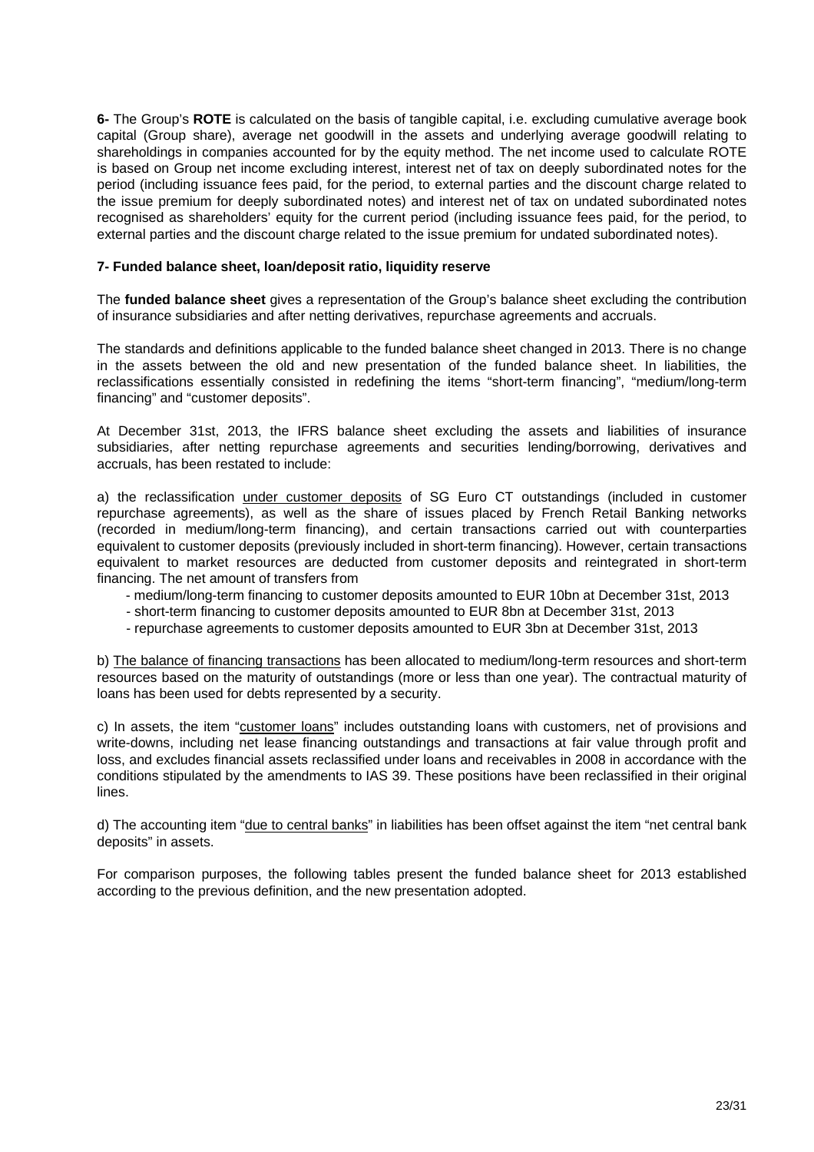**6-** The Group's **ROTE** is calculated on the basis of tangible capital, i.e. excluding cumulative average book capital (Group share), average net goodwill in the assets and underlying average goodwill relating to shareholdings in companies accounted for by the equity method. The net income used to calculate ROTE is based on Group net income excluding interest, interest net of tax on deeply subordinated notes for the period (including issuance fees paid, for the period, to external parties and the discount charge related to the issue premium for deeply subordinated notes) and interest net of tax on undated subordinated notes recognised as shareholders' equity for the current period (including issuance fees paid, for the period, to external parties and the discount charge related to the issue premium for undated subordinated notes).

#### **7- Funded balance sheet, loan/deposit ratio, liquidity reserve**

The **funded balance sheet** gives a representation of the Group's balance sheet excluding the contribution of insurance subsidiaries and after netting derivatives, repurchase agreements and accruals.

The standards and definitions applicable to the funded balance sheet changed in 2013. There is no change in the assets between the old and new presentation of the funded balance sheet. In liabilities, the reclassifications essentially consisted in redefining the items "short-term financing", "medium/long-term financing" and "customer deposits".

At December 31st, 2013, the IFRS balance sheet excluding the assets and liabilities of insurance subsidiaries, after netting repurchase agreements and securities lending/borrowing, derivatives and accruals, has been restated to include:

a) the reclassification under customer deposits of SG Euro CT outstandings (included in customer repurchase agreements), as well as the share of issues placed by French Retail Banking networks (recorded in medium/long-term financing), and certain transactions carried out with counterparties equivalent to customer deposits (previously included in short-term financing). However, certain transactions equivalent to market resources are deducted from customer deposits and reintegrated in short-term financing. The net amount of transfers from

- medium/long-term financing to customer deposits amounted to EUR 10bn at December 31st, 2013
- short-term financing to customer deposits amounted to EUR 8bn at December 31st, 2013
- repurchase agreements to customer deposits amounted to EUR 3bn at December 31st, 2013

b) The balance of financing transactions has been allocated to medium/long-term resources and short-term resources based on the maturity of outstandings (more or less than one year). The contractual maturity of loans has been used for debts represented by a security.

c) In assets, the item "customer loans" includes outstanding loans with customers, net of provisions and write-downs, including net lease financing outstandings and transactions at fair value through profit and loss, and excludes financial assets reclassified under loans and receivables in 2008 in accordance with the conditions stipulated by the amendments to IAS 39. These positions have been reclassified in their original lines.

d) The accounting item "due to central banks" in liabilities has been offset against the item "net central bank deposits" in assets.

For comparison purposes, the following tables present the funded balance sheet for 2013 established according to the previous definition, and the new presentation adopted.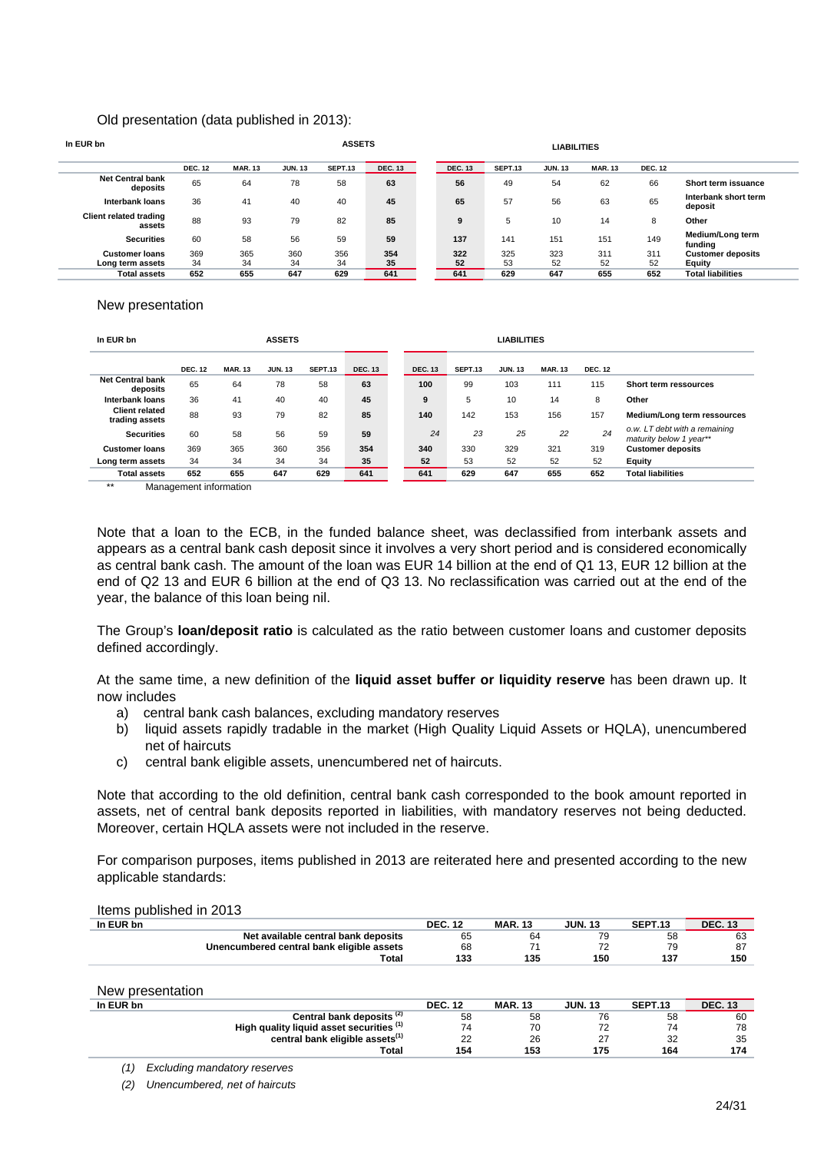#### Old presentation (data published in 2013):

| In EUR bn                                 |                |                |                | <b>ASSETS</b>  |                |  |                |           | <b>LIABILITIES</b> |                |                |                                    |
|-------------------------------------------|----------------|----------------|----------------|----------------|----------------|--|----------------|-----------|--------------------|----------------|----------------|------------------------------------|
|                                           | <b>DEC. 12</b> | <b>MAR. 13</b> | <b>JUN. 13</b> | <b>SEPT.13</b> | <b>DEC. 13</b> |  | <b>DEC. 13</b> | SEPT.13   | <b>JUN. 13</b>     | <b>MAR. 13</b> | <b>DEC. 12</b> |                                    |
| <b>Net Central bank</b><br>deposits       | 65             | 64             | 78             | 58             | 63             |  | 56             | 49        | 54                 | 62             | 66             | Short term issuance                |
| Interbank loans                           | 36             | 41             | 40             | 40             | 45             |  | 65             | 57        | 56                 | 63             | 65             | Interbank short term<br>deposit    |
| <b>Client related trading</b><br>assets   | 88             | 93             | 79             | 82             | 85             |  | 9              | 5         | 10                 | 14             | 8              | Other                              |
| <b>Securities</b>                         | 60             | 58             | 56             | 59             | 59             |  | 137            | 141       | 151                | 151            | 149            | Medium/Long term<br>fundina        |
| <b>Customer loans</b><br>Long term assets | 369<br>34      | 365<br>34      | 360<br>34      | 356<br>34      | 354<br>35      |  | 322<br>52      | 325<br>53 | 323<br>52          | 311<br>52      | 311<br>52      | <b>Customer deposits</b><br>Equity |
| <b>Total assets</b>                       | 652            | 655            | 647            | 629            | 641            |  | 641            | 629       | 647                | 655            | 652            | <b>Total liabilities</b>           |

#### New presentation

| In EUR bn                               |                | <b>ASSETS</b>  |                |         |                |  |                | <b>LIABILITIES</b> |                |                |                |                                                          |
|-----------------------------------------|----------------|----------------|----------------|---------|----------------|--|----------------|--------------------|----------------|----------------|----------------|----------------------------------------------------------|
|                                         | <b>DEC. 12</b> | <b>MAR. 13</b> | <b>JUN. 13</b> | SEPT.13 | <b>DEC. 13</b> |  | <b>DEC. 13</b> | <b>SEPT.13</b>     | <b>JUN. 13</b> | <b>MAR. 13</b> | <b>DEC. 12</b> |                                                          |
| <b>Net Central bank</b><br>deposits     | 65             | 64             | 78             | 58      | 63             |  | 100            | 99                 | 103            | 111            | 115            | Short term ressources                                    |
| Interbank loans                         | 36             | 41             | 40             | 40      | 45             |  | 9              | 5                  | 10             | 14             | 8              | Other                                                    |
| <b>Client related</b><br>trading assets | 88             | 93             | 79             | 82      | 85             |  | 140            | 142                | 153            | 156            | 157            | Medium/Long term ressources                              |
| <b>Securities</b>                       | 60             | 58             | 56             | 59      | 59             |  | 24             | 23                 | 25             | 22             | 24             | o.w. LT debt with a remaining<br>maturity below 1 year** |
| <b>Customer loans</b>                   | 369            | 365            | 360            | 356     | 354            |  | 340            | 330                | 329            | 321            | 319            | <b>Customer deposits</b>                                 |
| Long term assets                        | 34             | 34             | 34             | 34      | 35             |  | 52             | 53                 | 52             | 52             | 52             | Equity                                                   |
| <b>Total assets</b>                     | 652            | 655            | 647            | 629     | 641            |  | 641            | 629                | 647            | 655            | 652            | <b>Total liabilities</b>                                 |

\*\* Management information

Note that a loan to the ECB, in the funded balance sheet, was declassified from interbank assets and appears as a central bank cash deposit since it involves a very short period and is considered economically as central bank cash. The amount of the loan was EUR 14 billion at the end of Q1 13, EUR 12 billion at the end of Q2 13 and EUR 6 billion at the end of Q3 13. No reclassification was carried out at the end of the year, the balance of this loan being nil.

The Group's **loan/deposit ratio** is calculated as the ratio between customer loans and customer deposits defined accordingly.

At the same time, a new definition of the **liquid asset buffer or liquidity reserve** has been drawn up. It now includes

- a) central bank cash balances, excluding mandatory reserves
- b) liquid assets rapidly tradable in the market (High Quality Liquid Assets or HQLA), unencumbered net of haircuts
- c) central bank eligible assets, unencumbered net of haircuts.

Note that according to the old definition, central bank cash corresponded to the book amount reported in assets, net of central bank deposits reported in liabilities, with mandatory reserves not being deducted. Moreover, certain HQLA assets were not included in the reserve.

For comparison purposes, items published in 2013 are reiterated here and presented according to the new applicable standards:

| Items published in 2013 |
|-------------------------|
| In EUR bn               |

| In EUR bn                                 | <b>DEC. 12</b> | <b>MAR. 13</b> | <b>JUN. 13</b> | SEPT.13 | <b>DEC. 13</b> |
|-------------------------------------------|----------------|----------------|----------------|---------|----------------|
| Net available central bank deposits       | 65             | 64             |                | 58      | 63             |
| Unencumbered central bank eligible assets | 68             |                | 72             | 79      | 87             |
| Total                                     | 133            | 135            | 150            | 137     | 150            |
|                                           |                |                |                |         |                |
| New presentation                          |                |                |                |         |                |

| .         |                                             |                |                |                |         |                |
|-----------|---------------------------------------------|----------------|----------------|----------------|---------|----------------|
| In EUR bn |                                             | <b>DEC. 12</b> | <b>MAR. 13</b> | <b>JUN. 13</b> | SEPT.13 | <b>DEC. 13</b> |
|           | Central bank deposits <sup>(2)</sup>        | 58             | 58             | 76             | 58      | 60             |
|           | High quality liquid asset securities (1)    | 74             | 70             |                | 74      | 78             |
|           | central bank eligible assets <sup>(1)</sup> | 22             | 26             | ا ے            | 32      | 35             |
|           | Total                                       | 154            | 153            | 175            | 164     | 174            |
|           |                                             |                |                |                |         |                |

*(1) Excluding mandatory reserves* 

*(2) Unencumbered, net of haircuts*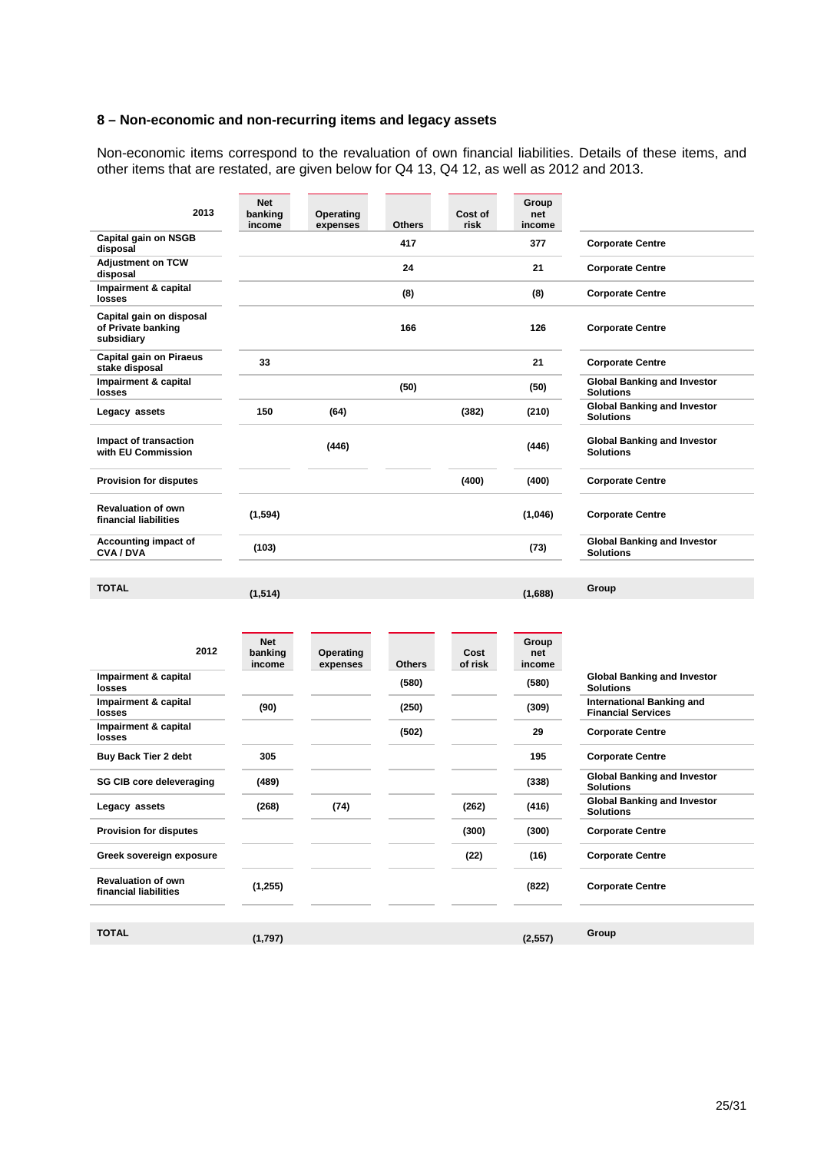#### **8 – Non-economic and non-recurring items and legacy assets**

Non-economic items correspond to the revaluation of own financial liabilities. Details of these items, and other items that are restated, are given below for Q4 13, Q4 12, as well as 2012 and 2013.

| 2013                                                         | <b>Net</b><br>banking<br>income | Operating<br>expenses | <b>Others</b> | Cost of<br>risk | Group<br>net<br>income |                                                               |
|--------------------------------------------------------------|---------------------------------|-----------------------|---------------|-----------------|------------------------|---------------------------------------------------------------|
| Capital gain on NSGB<br>disposal                             |                                 |                       | 417           |                 | 377                    | <b>Corporate Centre</b>                                       |
| <b>Adjustment on TCW</b><br>disposal                         |                                 |                       | 24            |                 | 21                     | <b>Corporate Centre</b>                                       |
| Impairment & capital<br>losses                               |                                 |                       | (8)           |                 | (8)                    | <b>Corporate Centre</b>                                       |
| Capital gain on disposal<br>of Private banking<br>subsidiary |                                 |                       | 166<br>126    |                 |                        | <b>Corporate Centre</b>                                       |
| <b>Capital gain on Piraeus</b><br>stake disposal             | 33                              |                       |               |                 | 21                     | <b>Corporate Centre</b>                                       |
| Impairment & capital<br>losses                               |                                 |                       | (50)          |                 | (50)                   | <b>Global Banking and Investor</b><br><b>Solutions</b>        |
| Legacy assets                                                | 150                             | (64)                  |               | (382)           | (210)                  | <b>Global Banking and Investor</b><br><b>Solutions</b>        |
| Impact of transaction<br>with EU Commission                  |                                 | (446)                 |               |                 | (446)                  | <b>Global Banking and Investor</b><br><b>Solutions</b>        |
| <b>Provision for disputes</b>                                |                                 |                       |               | (400)           | (400)                  | <b>Corporate Centre</b>                                       |
| <b>Revaluation of own</b><br>financial liabilities           | (1, 594)                        |                       |               |                 | (1,046)                | <b>Corporate Centre</b>                                       |
| Accounting impact of<br><b>CVA/DVA</b>                       | (103)                           |                       |               |                 | (73)                   | <b>Global Banking and Investor</b><br><b>Solutions</b>        |
| <b>TOTAL</b>                                                 | (1, 514)                        |                       |               |                 | (1,688)                | Group                                                         |
| 2012                                                         | <b>Net</b><br>banking<br>income | Operating<br>expenses | <b>Others</b> | Cost<br>of risk | Group<br>net<br>income |                                                               |
| Impairment & capital<br>losses                               |                                 |                       | (580)         |                 | (580)                  | <b>Global Banking and Investor</b><br><b>Solutions</b>        |
| Impairment & capital<br>losses                               | (90)                            |                       | (250)         |                 | (309)                  | <b>International Banking and</b><br><b>Financial Services</b> |
| Impairment & capital<br>losses                               |                                 |                       | (502)         |                 | 29                     | <b>Corporate Centre</b>                                       |
| <b>Buy Back Tier 2 debt</b>                                  | 305                             |                       |               |                 | 195                    | <b>Corporate Centre</b>                                       |
| <b>SG CIB core deleveraging</b>                              | (489)                           |                       |               |                 | (338)                  | Global Banking and Investor<br><b>Solutions</b>               |
| Legacy assets                                                | (268)                           | (74)                  |               | (262)           | (416)                  | <b>Global Banking and Investor</b><br><b>Solutions</b>        |
| <b>Provision for disputes</b>                                |                                 |                       |               | (300)           | (300)                  | <b>Corporate Centre</b>                                       |
| Crook coversion expecuse                                     |                                 |                       |               | (22)            | 14C                    | Carnarata Cantra                                              |

Greek sovereign exposure **Community Community Community Community** (22) (16) Corporate Centre **Revaluation of own financial liabilities (1,255) (822) Corporate Centre TOTAL (1,797) (2,557) Group**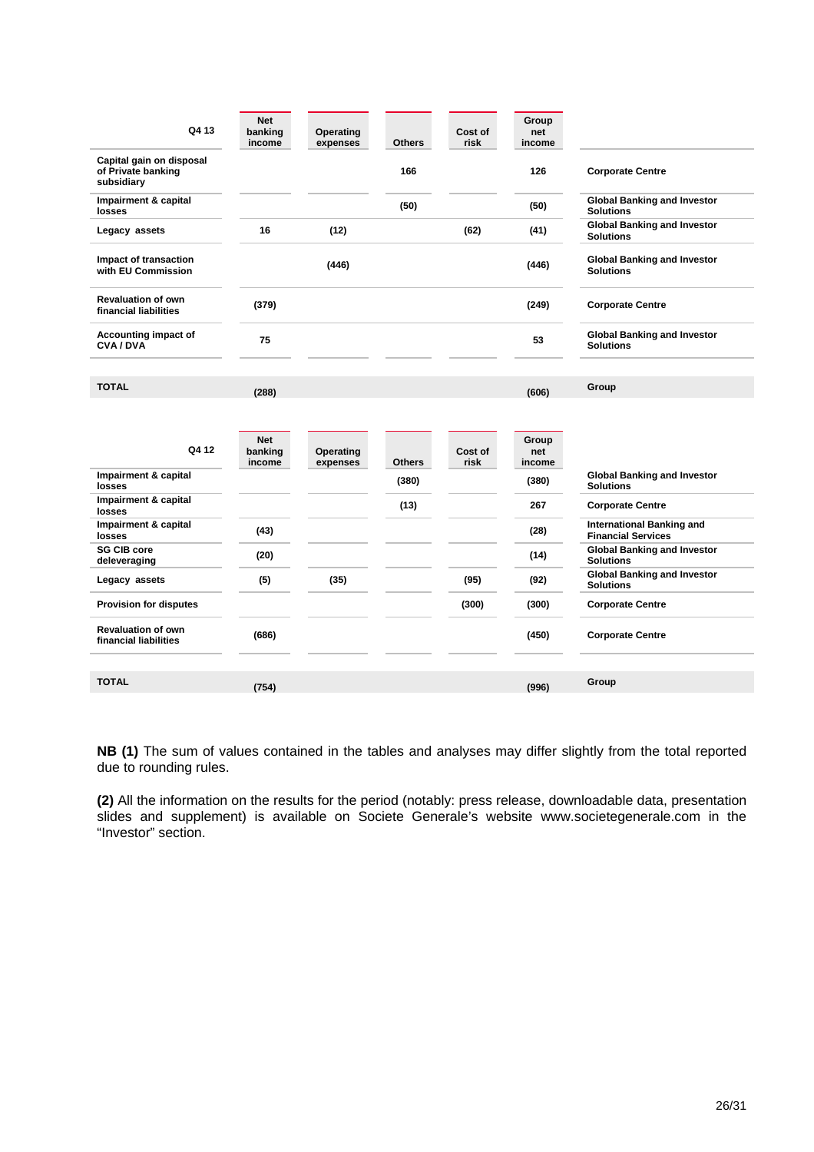| Q4 13                                                        | <b>Net</b><br>banking<br>income | Operating<br>expenses        | <b>Others</b> | Cost of<br>risk | Group<br>net<br>income |                                                               |
|--------------------------------------------------------------|---------------------------------|------------------------------|---------------|-----------------|------------------------|---------------------------------------------------------------|
| Capital gain on disposal<br>of Private banking<br>subsidiary |                                 |                              | 166           |                 | 126                    | <b>Corporate Centre</b>                                       |
| Impairment & capital<br>losses                               |                                 |                              | (50)          |                 | (50)                   | <b>Global Banking and Investor</b><br><b>Solutions</b>        |
| Legacy assets                                                | 16                              | (12)                         |               | (62)            | (41)                   | <b>Global Banking and Investor</b><br><b>Solutions</b>        |
| Impact of transaction<br>with EU Commission                  |                                 | (446)                        |               |                 | (446)                  | <b>Global Banking and Investor</b><br><b>Solutions</b>        |
| <b>Revaluation of own</b><br>financial liabilities           | (379)                           |                              |               |                 | (249)                  | <b>Corporate Centre</b>                                       |
| Accounting impact of<br><b>CVA/DVA</b>                       | 75                              |                              |               |                 | 53                     | <b>Global Banking and Investor</b><br><b>Solutions</b>        |
| <b>TOTAL</b>                                                 | (288)                           |                              |               |                 | (606)                  | Group                                                         |
| Q4 12<br>Impairment & capital                                | <b>Net</b><br>banking<br>income | <b>Operating</b><br>expenses | <b>Others</b> | Cost of<br>risk | Group<br>net<br>income | <b>Global Banking and Investor</b>                            |
| losses                                                       |                                 |                              | (380)         |                 | (380)                  | <b>Solutions</b>                                              |
| Impairment & capital<br>losses                               |                                 |                              | (13)          |                 | 267                    | <b>Corporate Centre</b>                                       |
| Impairment & capital<br>losses                               | (43)                            |                              |               |                 | (28)                   | <b>International Banking and</b><br><b>Financial Services</b> |
| <b>SG CIB core</b><br>deleveraging                           | (20)                            |                              |               |                 | (14)                   | <b>Global Banking and Investor</b><br><b>Solutions</b>        |
| Legacy assets                                                | (5)                             | (35)                         |               | (95)            | (92)                   | <b>Global Banking and Investor</b><br><b>Solutions</b>        |
| <b>Provision for disputes</b>                                |                                 |                              |               | (300)           | (300)                  | <b>Corporate Centre</b>                                       |
| <b>Revaluation of own</b><br>financial liabilities           | (686)                           |                              |               |                 | (450)                  | <b>Corporate Centre</b>                                       |
| <b>TOTAL</b>                                                 | (754)                           |                              |               |                 | (996)                  | Group                                                         |

**NB (1)** The sum of values contained in the tables and analyses may differ slightly from the total reported due to rounding rules.

**(2)** All the information on the results for the period (notably: press release, downloadable data, presentation slides and supplement) is available on Societe Generale's website www.societegenerale.com in the "Investor" section.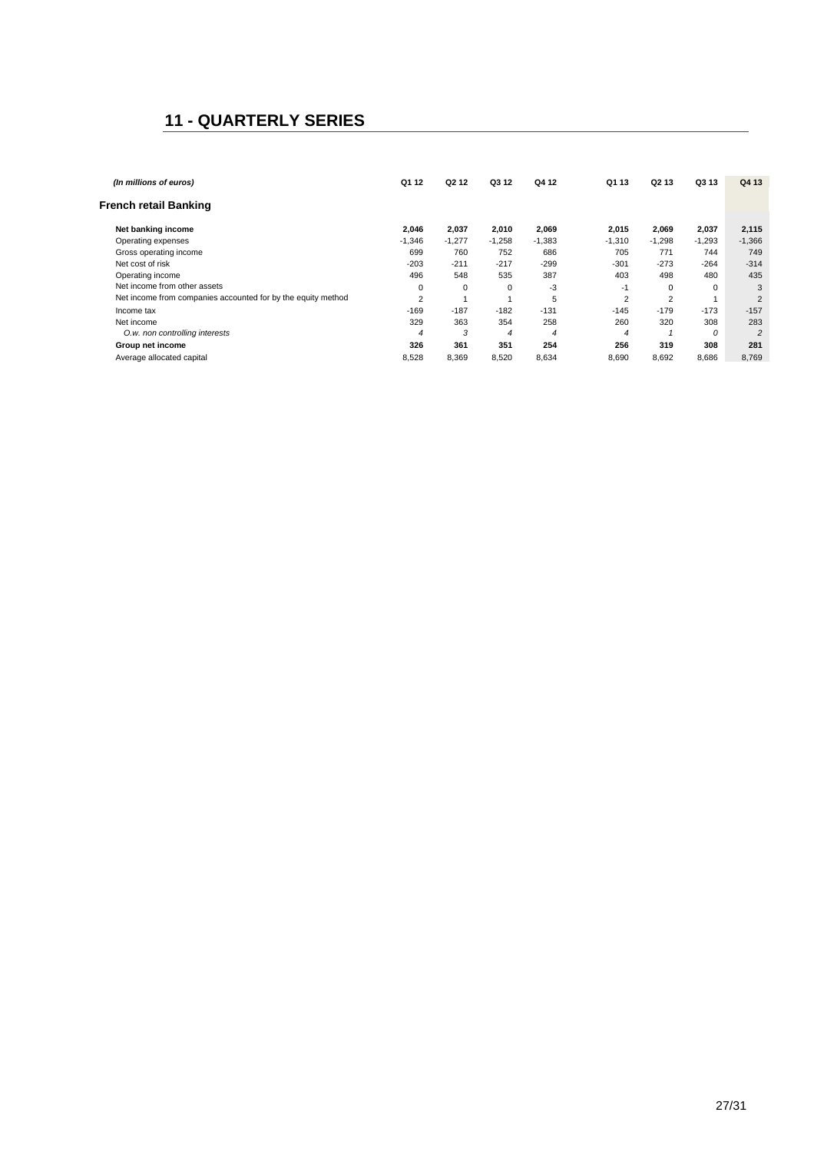## **11 - QUARTERLY SERIES**

| (In millions of euros)                                       | Q1 12    | Q <sub>2</sub> 1 <sub>2</sub> | Q3 12    | Q4 12    | Q1 13    | Q <sub>2</sub> 13 | Q3 13    | Q4 13          |
|--------------------------------------------------------------|----------|-------------------------------|----------|----------|----------|-------------------|----------|----------------|
|                                                              |          |                               |          |          |          |                   |          |                |
| <b>French retail Banking</b>                                 |          |                               |          |          |          |                   |          |                |
|                                                              |          |                               |          |          |          |                   |          |                |
| Net banking income                                           | 2,046    | 2.037                         | 2,010    | 2,069    | 2.015    | 2,069             | 2,037    | 2,115          |
| Operating expenses                                           | $-1,346$ | $-1,277$                      | $-1,258$ | $-1,383$ | $-1,310$ | $-1,298$          | $-1,293$ | $-1,366$       |
| Gross operating income                                       | 699      | 760                           | 752      | 686      | 705      | 771               | 744      | 749            |
| Net cost of risk                                             | $-203$   | $-211$                        | $-217$   | $-299$   | $-301$   | $-273$            | $-264$   | $-314$         |
| Operating income                                             | 496      | 548                           | 535      | 387      | 403      | 498               | 480      | 435            |
| Net income from other assets                                 | 0        | 0                             | 0        | -3       | $-1$     | 0                 | 0        | 3              |
| Net income from companies accounted for by the equity method | 2        |                               |          | 5        | 2        | 2                 |          | $\overline{2}$ |
| Income tax                                                   | $-169$   | $-187$                        | $-182$   | $-131$   | $-145$   | $-179$            | $-173$   | $-157$         |
| Net income                                                   | 329      | 363                           | 354      | 258      | 260      | 320               | 308      | 283            |
| O.w. non controlling interests                               | 4        | 3                             | 4        | 4        | 4        |                   | 0        | $\overline{c}$ |
| Group net income                                             | 326      | 361                           | 351      | 254      | 256      | 319               | 308      | 281            |
| Average allocated capital                                    | 8,528    | 8,369                         | 8,520    | 8,634    | 8,690    | 8,692             | 8,686    | 8,769          |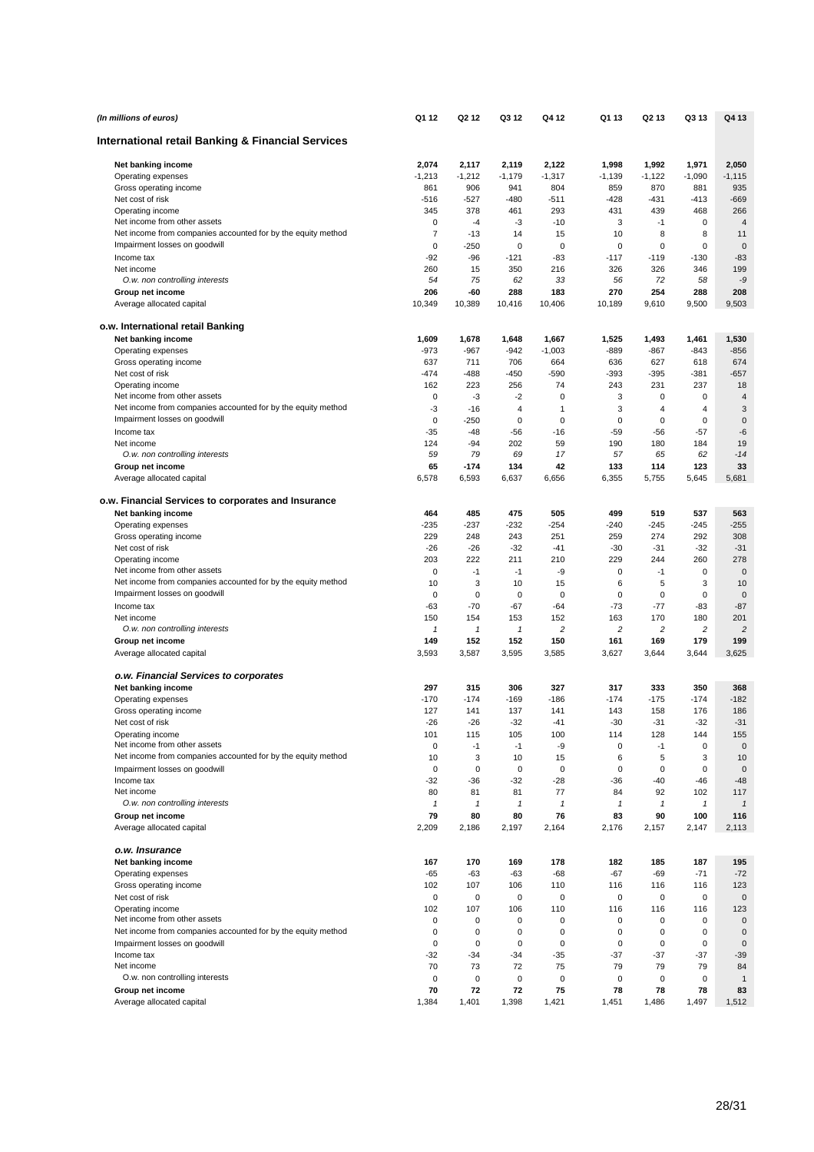| (In millions of euros)                                                                        | Q1 12             | Q <sub>2</sub> 1 <sub>2</sub> | Q3 12         | Q4 12             | Q1 13            | Q2 13            | Q3 13            | Q4 13             |
|-----------------------------------------------------------------------------------------------|-------------------|-------------------------------|---------------|-------------------|------------------|------------------|------------------|-------------------|
| International retail Banking & Financial Services                                             |                   |                               |               |                   |                  |                  |                  |                   |
| Net banking income                                                                            | 2,074             | 2,117                         | 2,119         | 2,122             | 1,998            | 1,992            | 1,971            | 2,050             |
| Operating expenses                                                                            | $-1,213$          | $-1,212$                      | $-1,179$      | $-1,317$          | $-1,139$         | $-1,122$         | $-1,090$         | $-1, 115$         |
| Gross operating income                                                                        | 861               | 906                           | 941           | 804               | 859              | 870              | 881              | 935               |
| Net cost of risk                                                                              | $-516$            | $-527$                        | -480          | -511              | $-428$           | $-431$           | -413             | $-669$            |
| Operating income                                                                              | 345               | 378                           | 461           | 293               | 431              | 439              | 468              | 266               |
| Net income from other assets                                                                  | 0                 | $-4$                          | -3            | $-10$             | 3                | $-1$             | $\mathbf 0$      | $\overline{4}$    |
| Net income from companies accounted for by the equity method                                  | $\overline{7}$    | $-13$                         | 14            | 15                | 10               | 8                | 8                | 11                |
| Impairment losses on goodwill                                                                 | $\mathbf 0$       | $-250$                        | 0             | $\mathbf 0$       | 0                | 0                | $\mathbf 0$      | $\mathbf 0$       |
| Income tax                                                                                    | $-92$             | $-96$                         | -121          | -83               | $-117$           | $-119$           | $-130$           | $-83$             |
| Net income                                                                                    | 260               | 15                            | 350           | 216               | 326              | 326              | 346              | 199               |
| O.w. non controlling interests                                                                | 54                | 75                            | 62            | 33                | 56               | 72               | 58               | -9                |
| Group net income<br>Average allocated capital                                                 | 206<br>10.349     | -60<br>10,389                 | 288<br>10,416 | 183<br>10,406     | 270<br>10,189    | 254<br>9,610     | 288<br>9,500     | 208<br>9,503      |
| o.w. International retail Banking                                                             |                   |                               |               |                   |                  |                  |                  |                   |
| Net banking income                                                                            | 1,609             | 1,678                         | 1,648         | 1,667             | 1,525            | 1,493            | 1,461            | 1,530             |
| Operating expenses                                                                            | $-973$            | $-967$                        | $-942$        | $-1,003$          | $-889$           | $-867$           | $-843$           | $-856$            |
| Gross operating income                                                                        | 637               | 711                           | 706           | 664               | 636              | 627              | 618              | 674               |
| Net cost of risk                                                                              | $-474$            | -488                          | -450          | $-590$            | $-393$           | $-395$           | $-381$           | $-657$            |
| Operating income                                                                              | 162               | 223                           | 256           | 74                | 243              | 231              | 237              | 18                |
| Net income from other assets                                                                  | $\mathbf 0$       | -3                            | $-2$          | $\mathbf 0$       | 3                | $\mathbf 0$      | 0                | $\overline{4}$    |
| Net income from companies accounted for by the equity method                                  | -3                | $-16$                         | $\sqrt{4}$    | 1                 | 3                | 4                | 4                | 3                 |
| Impairment losses on goodwill                                                                 | 0                 | $-250$                        | 0             | $\mathbf 0$       | 0                | 0                | 0                | $\mathbf 0$       |
| Income tax                                                                                    | $-35$             | $-48$                         | $-56$         | $-16$             | -59              | $-56$            | $-57$            | $-6$              |
| Net income                                                                                    | 124               | $-94$                         | 202           | 59                | 190              | 180              | 184              | 19                |
| O.w. non controlling interests                                                                | 59                | 79                            | 69            | 17                | 57               | 65               | 62               | $-14$             |
| Group net income                                                                              | 65                | $-174$                        | 134           | 42                | 133              | 114              | 123              | 33                |
| Average allocated capital                                                                     | 6,578             | 6,593                         | 6,637         | 6,656             | 6,355            | 5,755            | 5,645            | 5,681             |
| o.w. Financial Services to corporates and Insurance                                           |                   |                               |               |                   |                  |                  |                  |                   |
| Net banking income                                                                            | 464               | 485                           | 475           | 505               | 499              | 519              | 537              | 563               |
| Operating expenses                                                                            | -235              | $-237$                        | $-232$        | $-254$            | $-240$           | $-245$           | $-245$           | $-255$            |
| Gross operating income                                                                        | 229               | 248                           | 243           | 251               | 259              | 274              | 292              | 308               |
| Net cost of risk                                                                              | $-26$             | $-26$                         | $-32$         | $-41$             | $-30$            | $-31$            | $-32$            | $-31$             |
| Operating income                                                                              | 203               | 222                           | 211           | 210               | 229              | 244              | 260              | 278               |
| Net income from other assets                                                                  | $\mathbf 0$       | $-1$                          | $-1$          | -9                | $\mathbf 0$      | $-1$             | $\mathbf 0$      | $\mathbf 0$       |
| Net income from companies accounted for by the equity method<br>Impairment losses on goodwill | 10<br>$\mathbf 0$ | 3<br>0                        | 10<br>0       | 15<br>$\mathbf 0$ | 6<br>$\mathbf 0$ | 5<br>$\mathbf 0$ | 3<br>$\mathbf 0$ | 10<br>$\mathbf 0$ |
| Income tax                                                                                    | $-63$             | $-70$                         | $-67$         | $-64$             | $-73$            | $-77$            | $-83$            | $-87$             |
| Net income                                                                                    | 150               | 154                           | 153           | 152               | 163              | 170              | 180              | 201               |
| O.w. non controlling interests                                                                | $\mathbf{1}$      | $\mathbf{1}$                  | 1             | 2                 | 2                | $\sqrt{2}$       | $\overline{c}$   | $\overline{c}$    |
| Group net income                                                                              | 149               | 152                           | 152           | 150               | 161              | 169              | 179              | 199               |
| Average allocated capital                                                                     | 3,593             | 3,587                         | 3,595         | 3,585             | 3,627            | 3,644            | 3,644            | 3,625             |
| o.w. Financial Services to corporates                                                         |                   |                               |               |                   |                  |                  |                  |                   |
| Net banking income                                                                            | 297               | 315                           | 306           | 327               | 317              | 333              | 350              | 368               |
| Operating expenses                                                                            | $-170$            | $-174$                        | $-169$        | $-186$            | $-174$           | $-175$           | $-174$           | $-182$            |
| Gross operating income                                                                        | 127               | 141                           | 137           | 141               | 143              | 158              | 176              | 186               |
| Net cost of risk                                                                              | $-26$             | $-26$                         | $-32$         | $-41$             | $-30$            | $-31$            | $-32$            | $-31$             |
| Operating income                                                                              | 101               | 115                           | 105           | 100               | 114              | 128              | 144              | 155               |
| Net income from other assets                                                                  | 0                 | $-1$                          | $-1$          | -9                | 0                | $-1$             | 0                | $\mathbf 0$       |
| Net income from companies accounted for by the equity method                                  | 10                | 3                             | 10            | 15                | 6                | 5                | 3                | 10                |
| Impairment losses on goodwill                                                                 | $\mathbf 0$       | $\mathbf 0$                   | $\mathsf 0$   | $\pmb{0}$         | 0                | $\pmb{0}$        | $\mathbf 0$      | $\mathbf 0$       |
| Income tax                                                                                    | $-32$             | -36                           | $-32$         | -28               | $-36$            | $-40$            | $-46$            | $-48$             |
| Net income                                                                                    | 80                | 81                            | 81            | 77                | 84               | 92               | 102              | 117               |
| O.w. non controlling interests                                                                | 1                 | $\mathbf{1}$                  | 1             | $\mathbf{1}$      | $\mathbf{1}$     | 1                | $\mathbf{1}$     | $\mathbf{1}$      |
| Group net income<br>Average allocated capital                                                 | 79<br>2,209       | 80<br>2,186                   | 80<br>2,197   | 76<br>2,164       | 83<br>2,176      | 90<br>2,157      | 100<br>2,147     | 116<br>2,113      |
|                                                                                               |                   |                               |               |                   |                  |                  |                  |                   |
| o.w. Insurance<br>Net banking income                                                          | 167               | 170                           | 169           | 178               | 182              | 185              | 187              | 195               |
| Operating expenses                                                                            | $-65$             | $-63$                         | $-63$         | -68               | $-67$            | $-69$            | $-71$            | $-72$             |
| Gross operating income                                                                        | 102               | 107                           | 106           | 110               | 116              | 116              | 116              | 123               |
| Net cost of risk                                                                              | $\pmb{0}$         | $\mathbf 0$                   | $\mathsf 0$   | $\pmb{0}$         | 0                | 0                | 0                | $\mathbf 0$       |
| Operating income                                                                              | 102               | 107                           | 106           | 110               | 116              | 116              | 116              | 123               |
| Net income from other assets                                                                  | 0                 | 0                             | 0             | 0                 | 0                | 0                | 0                | $\mathbf 0$       |
| Net income from companies accounted for by the equity method                                  | 0                 | 0                             | 0             | 0                 | 0                | 0                | 0                | $\mathbf 0$       |
| Impairment losses on goodwill                                                                 | $\mathbf 0$       | $\mathbf 0$                   | $\mathsf 0$   | 0                 | 0                | 0                | $\mathbf 0$      | $\mathbf 0$       |
| Income tax                                                                                    | $-32$             | $-34$                         | $-34$         | -35               | $-37$            | $-37$            | -37              | -39               |
| Net income                                                                                    | 70                | 73                            | 72            | 75                | 79               | 79               | 79               | 84                |
| O.w. non controlling interests                                                                | $\mathbf 0$       | $\mathbf 0$                   | 0             | $\mathbf 0$       | 0                | $\mathbf 0$      | 0                | $\mathbf{1}$      |
| Group net income                                                                              | 70                | 72                            | 72            | 75                | 78               | 78               | 78               | 83                |
| Average allocated capital                                                                     | 1,384             | 1,401                         | 1,398         | 1,421             | 1,451            | 1,486            | 1,497            | 1,512             |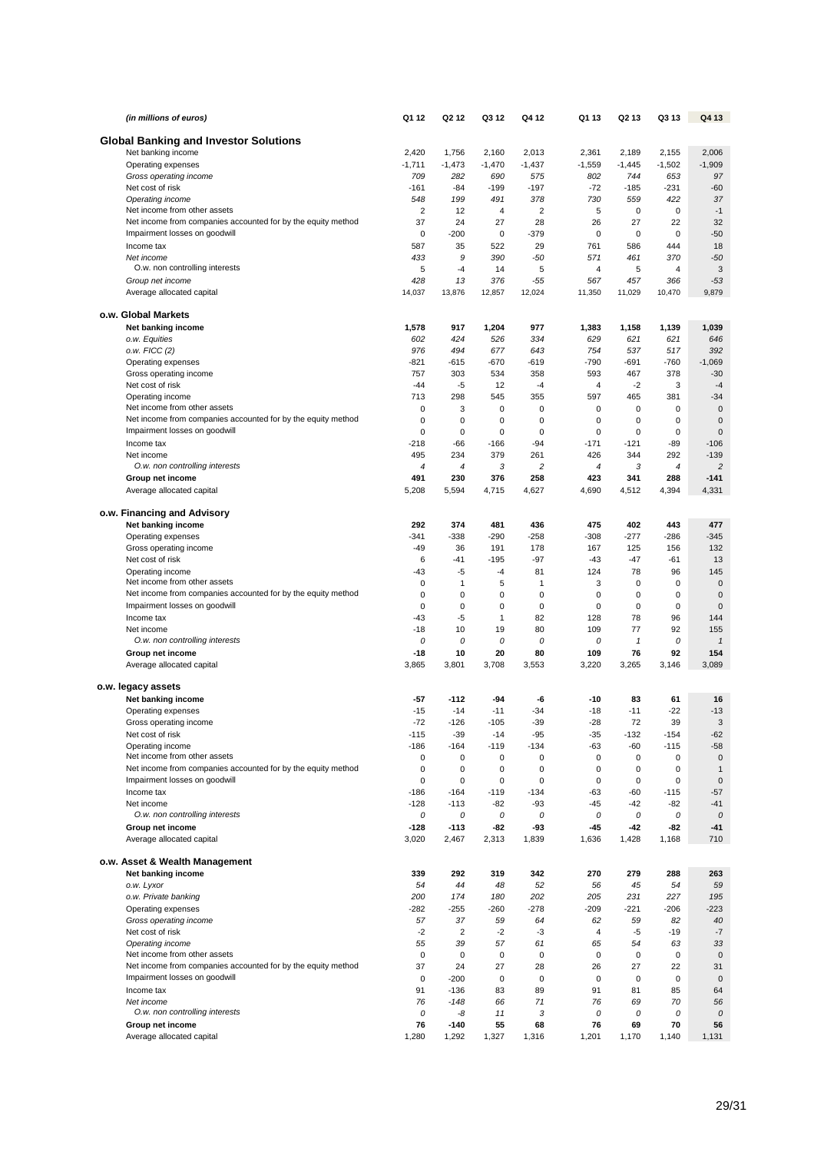| (in millions of euros)                                                                       | Q1 12                | Q <sub>2</sub> 1 <sub>2</sub> | Q3 12           | Q4 12                   | Q1 13          | Q2 13           | Q3 13             | Q4 13           |
|----------------------------------------------------------------------------------------------|----------------------|-------------------------------|-----------------|-------------------------|----------------|-----------------|-------------------|-----------------|
| <b>Global Banking and Investor Solutions</b>                                                 |                      |                               |                 |                         |                |                 |                   |                 |
| Net banking income                                                                           | 2,420                | 1,756                         | 2,160           | 2,013                   | 2,361          | 2,189           | 2,155             | 2,006           |
| Operating expenses                                                                           | $-1,711$             | $-1,473$                      | $-1,470$        | $-1,437$                | $-1,559$       | $-1,445$        | $-1,502$          | $-1,909$        |
| Gross operating income                                                                       | 709                  | 282                           | 690             | 575                     | 802            | 744             | 653               | 97              |
| Net cost of risk                                                                             | $-161$               | -84                           | -199            | $-197$                  | $-72$          | $-185$          | $-231$            | $-60$           |
| Operating income                                                                             | 548                  | 199                           | 491             | 378                     | 730            | 559             | 422               | 37              |
| Net income from other assets<br>Net income from companies accounted for by the equity method | $\overline{2}$<br>37 | 12<br>24                      | 4<br>27         | $\overline{\mathbf{c}}$ | 5              | 0<br>27         | $\mathbf 0$       | $-1$<br>32      |
| Impairment losses on goodwill                                                                | $\mathbf 0$          | $-200$                        | $\pmb{0}$       | 28<br>$-379$            | 26<br>0        | $\mathbf 0$     | 22<br>$\mathbf 0$ | $-50$           |
| Income tax                                                                                   | 587                  | 35                            | 522             | 29                      | 761            | 586             | 444               | 18              |
| Net income                                                                                   | 433                  | 9                             | 390             | $-50$                   | 571            | 461             | 370               | $-50$           |
| O.w. non controlling interests                                                               | 5                    | $-4$                          | 14              | 5                       | 4              | 5               | 4                 | 3               |
| Group net income                                                                             | 428                  | 13                            | 376             | $-55$                   | 567            | 457             | 366               | $-53$           |
| Average allocated capital                                                                    | 14,037               | 13,876                        | 12,857          | 12,024                  | 11,350         | 11,029          | 10,470            | 9,879           |
| o.w. Global Markets                                                                          |                      |                               |                 |                         |                |                 |                   |                 |
| Net banking income                                                                           | 1,578                | 917                           | 1,204           | 977                     | 1,383          | 1,158           | 1,139             | 1,039           |
| o.w. Equities                                                                                | 602                  | 424                           | 526             | 334                     | 629            | 621             | 621               | 646             |
| o.w. FICC (2)                                                                                | 976                  | 494                           | 677             | 643                     | 754            | 537             | 517               | 392             |
| Operating expenses                                                                           | -821                 | $-615$                        | $-670$          | $-619$                  | $-790$         | -691            | $-760$            | $-1,069$        |
| Gross operating income                                                                       | 757<br>$-44$         | 303                           | 534             | 358                     | 593            | 467<br>$-2$     | 378               | $-30$           |
| Net cost of risk<br>Operating income                                                         | 713                  | -5<br>298                     | 12<br>545       | $-4$<br>355             | 4<br>597       | 465             | 3<br>381          | $-4$<br>$-34$   |
| Net income from other assets                                                                 | 0                    | 3                             | 0               | $\mathbf 0$             | 0              | 0               | 0                 | $\mathbf 0$     |
| Net income from companies accounted for by the equity method                                 | $\mathbf 0$          | $\mathbf 0$                   | 0               | $\mathbf 0$             | 0              | 0               | $\mathsf 0$       | $\mathbf 0$     |
| Impairment losses on goodwill                                                                | 0                    | $\mathbf 0$                   | 0               | $\mathbf 0$             | $\mathbf 0$    | 0               | $\pmb{0}$         | $\mathbf 0$     |
| Income tax                                                                                   | $-218$               | $-66$                         | $-166$          | $-94$                   | $-171$         | $-121$          | $-89$             | $-106$          |
| Net income                                                                                   | 495                  | 234                           | 379             | 261                     | 426            | 344             | 292               | $-139$          |
| O.w. non controlling interests                                                               | 4                    | $\overline{4}$                | 3               | $\overline{c}$          | $\overline{4}$ | 3               | 4                 | $\overline{c}$  |
| Group net income                                                                             | 491<br>5,208         | 230<br>5,594                  | 376<br>4,715    | 258<br>4,627            | 423<br>4,690   | 341<br>4,512    | 288<br>4,394      | $-141$<br>4,331 |
| Average allocated capital                                                                    |                      |                               |                 |                         |                |                 |                   |                 |
| o.w. Financing and Advisory                                                                  |                      |                               |                 |                         |                |                 |                   |                 |
| Net banking income                                                                           | 292                  | 374                           | 481             | 436                     | 475            | 402             | 443               | 477             |
| Operating expenses                                                                           | $-341$               | $-338$                        | $-290$          | $-258$                  | $-308$         | $-277$          | $-286$            | $-345$          |
| Gross operating income                                                                       | $-49$                | 36                            | 191             | 178                     | 167            | 125             | 156               | 132             |
| Net cost of risk                                                                             | 6<br>$-43$           | $-41$<br>-5                   | $-195$<br>$-4$  | $-97$<br>81             | $-43$<br>124   | $-47$<br>78     | $-61$<br>96       | 13<br>145       |
| Operating income<br>Net income from other assets                                             | $\mathbf 0$          | $\mathbf{1}$                  | 5               | 1                       | 3              | 0               | 0                 | $\mathbf 0$     |
| Net income from companies accounted for by the equity method                                 | $\mathbf 0$          | $\mathbf 0$                   | 0               | $\mathbf 0$             | $\mathbf 0$    | 0               | 0                 | $\mathbf 0$     |
| Impairment losses on goodwill                                                                | $\mathbf 0$          | $\mathbf 0$                   | $\mathbf 0$     | $\mathbf 0$             | $\mathbf 0$    | $\mathbf 0$     | $\mathbf 0$       | $\mathbf 0$     |
| Income tax                                                                                   | $-43$                | $-5$                          | 1               | 82                      | 128            | 78              | 96                | 144             |
| Net income                                                                                   | $-18$                | 10                            | 19              | 80                      | 109            | 77              | 92                | 155             |
| O.w. non controlling interests                                                               | 0                    | 0                             | 0               | 0                       | 0              | $\mathbf{1}$    | 0                 | $\mathbf{1}$    |
| Group net income                                                                             | $-18$<br>3,865       | 10<br>3,801                   | 20<br>3,708     | 80<br>3,553             | 109<br>3,220   | 76<br>3,265     | 92<br>3,146       | 154<br>3,089    |
| Average allocated capital                                                                    |                      |                               |                 |                         |                |                 |                   |                 |
| o.w. legacy assets                                                                           |                      |                               |                 |                         |                |                 |                   |                 |
| Net banking income                                                                           | -57                  | $-112$                        | -94             | -6                      | -10            | 83              | 61                | 16              |
| Operating expenses                                                                           | $-15$                | $-14$                         | $-11$           | $-34$                   | $-18$          | $-11$           | $-22$             | $-13$           |
| Gross operating income                                                                       | $-72$                | $-126$                        | $-105$          | $-39$                   | $-28$          | 72              | 39                | 3               |
| Net cost of risk<br>Operating income                                                         | $-115$<br>$-186$     | $-39$<br>$-164$               | $-14$<br>$-119$ | $-95$<br>$-134$         | $-35$<br>-63   | $-132$<br>$-60$ | $-154$<br>$-115$  | $-62$<br>$-58$  |
| Net income from other assets                                                                 | 0                    | 0                             | $\mathbf 0$     | 0                       | 0              | $\mathbf 0$     | 0                 | $\mathbf 0$     |
| Net income from companies accounted for by the equity method                                 | 0                    | 0                             | $\pmb{0}$       | $\mathbf 0$             | 0              | 0               | $\pmb{0}$         | $\mathbf{1}$    |
| Impairment losses on goodwill                                                                | 0                    | $\mathbf 0$                   | 0               | $\mathbf 0$             | 0              | $\mathbf 0$     | 0                 | $\mathbf 0$     |
| Income tax                                                                                   | $-186$               | $-164$                        | $-119$          | $-134$                  | -63            | -60             | $-115$            | $-57$           |
| Net income                                                                                   | $-128$               | $-113$                        | $-82$           | $-93$                   | $-45$          | $-42$           | -82               | $-41$           |
| O.w. non controlling interests                                                               | 0                    | 0                             | 0               | 0                       | 0              | 0               | 0                 | 0               |
| Group net income<br>Average allocated capital                                                | -128<br>3,020        | $-113$<br>2,467               | -82<br>2,313    | -93<br>1,839            | -45<br>1,636   | -42<br>1,428    | -82<br>1,168      | -41<br>710      |
|                                                                                              |                      |                               |                 |                         |                |                 |                   |                 |
| o.w. Asset & Wealth Management                                                               |                      |                               |                 |                         |                |                 |                   |                 |
| Net banking income                                                                           | 339                  | 292                           | 319             | 342                     | 270            | 279             | 288               | 263             |
| o.w. Lyxor                                                                                   | 54                   | 44                            | 48              | 52                      | 56             | 45              | 54                | 59              |
| o.w. Private banking                                                                         | 200                  | 174                           | 180             | 202                     | 205            | 231             | 227               | 195             |
| Operating expenses                                                                           | $-282$<br>57         | $-255$<br>37                  | $-260$<br>59    | $-278$<br>64            | $-209$<br>62   | $-221$<br>59    | $-206$<br>82      | $-223$          |
| Gross operating income<br>Net cost of risk                                                   | $-2$                 | $\overline{c}$                | $-2$            | -3                      | 4              | -5              | $-19$             | 40<br>$-7$      |
| Operating income                                                                             | 55                   | 39                            | 57              | 61                      | 65             | 54              | 63                | 33              |
| Net income from other assets                                                                 | 0                    | 0                             | 0               | $\mathbf 0$             | 0              | $\mathbf 0$     | 0                 | $\mathbf 0$     |
| Net income from companies accounted for by the equity method                                 | 37                   | 24                            | 27              | 28                      | 26             | 27              | 22                | 31              |
| Impairment losses on goodwill                                                                | $\mathbf 0$          | $-200$                        | $\pmb{0}$       | $\mathbf 0$             | $\mathbf 0$    | $\mathbf 0$     | $\mathbf 0$       | $\mathbf 0$     |
| Income tax                                                                                   | 91                   | $-136$                        | 83              | 89                      | 91             | 81              | 85                | 64              |
| Net income                                                                                   | 76                   | $-148$                        | 66              | 71                      | 76             | 69              | 70                | 56              |
| O.w. non controlling interests<br>Group net income                                           | 0<br>76              | -8<br>$-140$                  | 11<br>55        | 3<br>68                 | 0<br>76        | 0<br>69         | 0<br>70           | 0<br>56         |
| Average allocated capital                                                                    | 1,280                | 1,292                         | 1,327           | 1,316                   | 1,201          | 1,170           | 1,140             | 1,131           |
|                                                                                              |                      |                               |                 |                         |                |                 |                   |                 |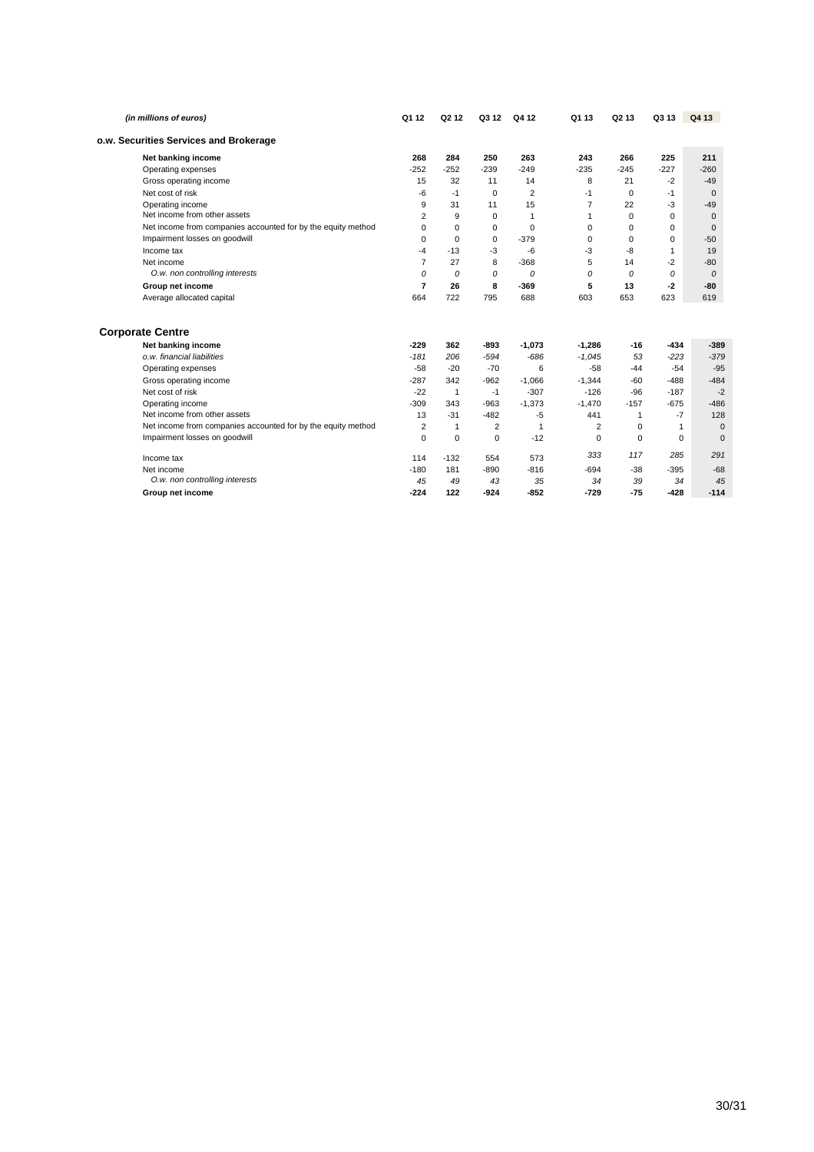| (in millions of euros)                                       | Q1 12          | Q <sub>2</sub> 1 <sub>2</sub> | Q3 12       | Q4 12          | Q1 13    | Q <sub>2</sub> 13 | Q3 13        | Q4 13         |
|--------------------------------------------------------------|----------------|-------------------------------|-------------|----------------|----------|-------------------|--------------|---------------|
| o.w. Securities Services and Brokerage                       |                |                               |             |                |          |                   |              |               |
| Net banking income                                           | 268            | 284                           | 250         | 263            | 243      | 266               | 225          | 211           |
| Operating expenses                                           | $-252$         | $-252$                        | $-239$      | $-249$         | $-235$   | $-245$            | $-227$       | $-260$        |
| Gross operating income                                       | 15             | 32                            | 11          | 14             | 8        | 21                | $-2$         | $-49$         |
| Net cost of risk                                             | $-6$           | $-1$                          | 0           | $\overline{2}$ | $-1$     | 0                 | $-1$         | $\mathbf 0$   |
| Operating income                                             | 9              | 31                            | 11          | 15             | 7        | 22                | $-3$         | $-49$         |
| Net income from other assets                                 | 2              | 9                             | $\Omega$    | $\mathbf{1}$   | 1        | $\Omega$          | 0            | $\mathbf 0$   |
| Net income from companies accounted for by the equity method | 0              | $\Omega$                      | $\Omega$    | $\Omega$       | 0        | $\Omega$          | 0            | $\mathbf 0$   |
| Impairment losses on goodwill                                | 0              | $\Omega$                      | $\mathbf 0$ | $-379$         | 0        | 0                 | $\mathbf 0$  | $-50$         |
| Income tax                                                   | -4             | $-13$                         | $-3$        | -6             | $-3$     | -8                | 1            | 19            |
| Net income                                                   | 7              | 27                            | 8           | $-368$         | 5        | 14                | $-2$         | $-80$         |
| O.w. non controlling interests                               | 0              | 0                             | 0           | 0              | 0        | $\Omega$          | 0            | $\mathcal{O}$ |
| Group net income                                             | $\overline{7}$ | 26                            | 8           | -369           | 5        | 13                | $-2$         | -80           |
| Average allocated capital                                    | 664            | 722                           | 795         | 688            | 603      | 653               | 623          | 619           |
|                                                              |                |                               |             |                |          |                   |              |               |
| <b>Corporate Centre</b>                                      |                |                               |             |                |          |                   |              |               |
| Net banking income                                           | $-229$         | 362                           | $-893$      | $-1.073$       | $-1.286$ | $-16$             | -434         | $-389$        |
| o.w. financial liabilities                                   | $-181$         | 206                           | $-594$      | $-686$         | $-1,045$ | 53                | $-223$       | $-379$        |
| Operating expenses                                           | $-58$          | $-20$                         | $-70$       | 6              | $-58$    | $-44$             | $-54$        | $-95$         |
| Gross operating income                                       | $-287$         | 342                           | $-962$      | $-1,066$       | $-1,344$ | $-60$             | $-488$       | $-484$        |
| Net cost of risk                                             | $-22$          | $\mathbf{1}$                  | $-1$        | $-307$         | $-126$   | $-96$             | $-187$       | $-2$          |
| Operating income                                             | $-309$         | 343                           | $-963$      | $-1,373$       | $-1.470$ | $-157$            | $-675$       | $-486$        |
| Net income from other assets                                 | 13             | $-31$                         | $-482$      | $-5$           | 441      | 1                 | $-7$         | 128           |
| Net income from companies accounted for by the equity method | 2              | $\mathbf{1}$                  | 2           | $\mathbf{1}$   | 2        | 0                 | $\mathbf{1}$ | $\mathbf 0$   |
| Impairment losses on goodwill                                | $\Omega$       | $\mathbf 0$                   | $\Omega$    | $-12$          | $\Omega$ | 0                 | $\Omega$     | $\Omega$      |
| Income tax                                                   | 114            | $-132$                        | 554         | 573            | 333      | 117               | 285          | 291           |
| Net income                                                   | $-180$         | 181                           | $-890$      | $-816$         | $-694$   | $-38$             | $-395$       | $-68$         |
| O.w. non controlling interests                               | 45             | 49                            | 43          | 35             | 34       | 39                | 34           | 45            |
| Group net income                                             | $-224$         | 122                           | $-924$      | $-852$         | $-729$   | $-75$             | $-428$       | $-114$        |